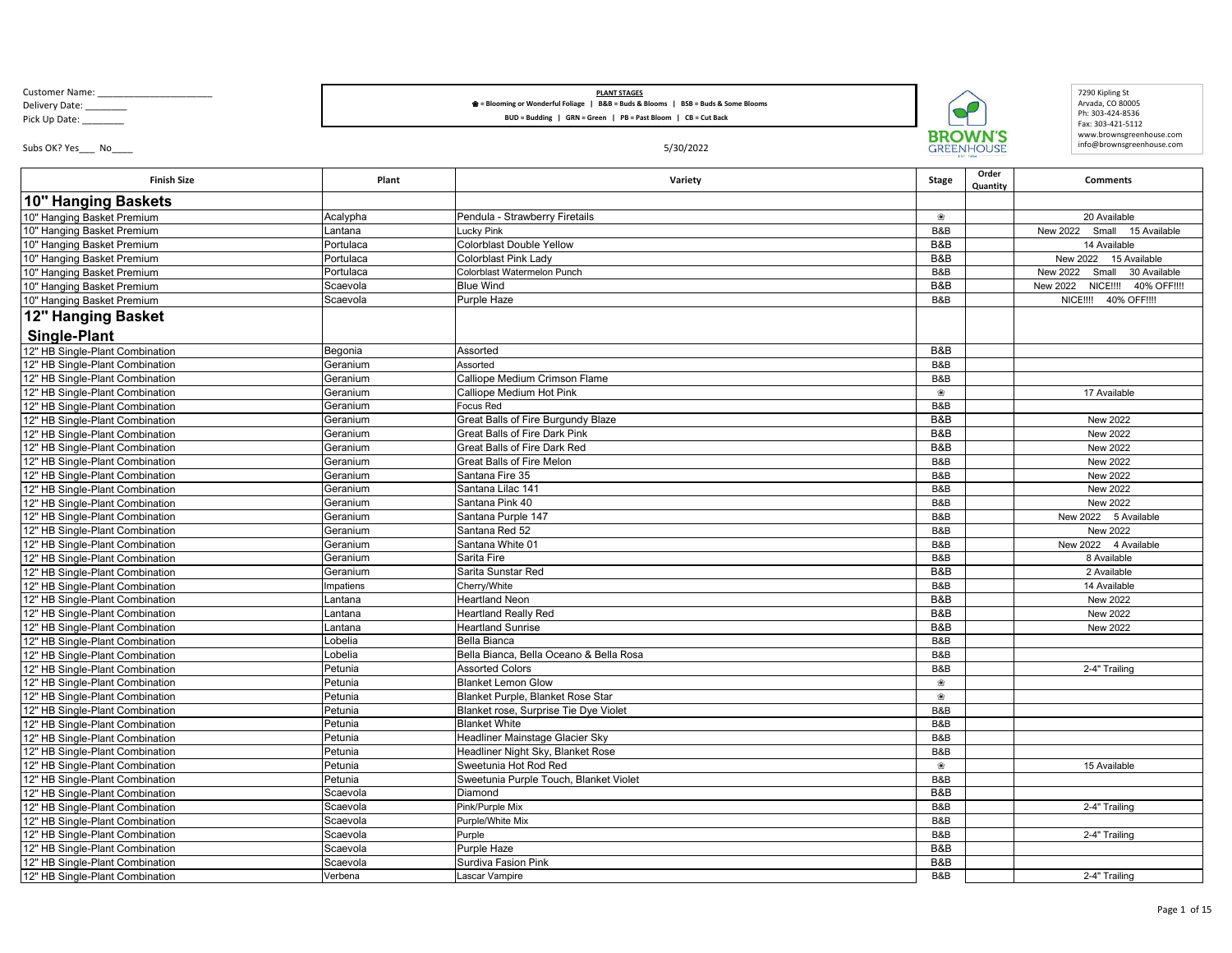Customer Name: \_\_\_\_\_

Delivery Date: \_\_\_\_\_\_\_\_ Pick Up Date: \_\_\_\_\_\_\_\_

## **PLANT STAGES** ❀ **= Blooming or Wonderful Foliage | B&B = Buds & Blooms | BSB = Buds & Some Blooms**

**BUD = Budding | GRN = Green | PB = Past Bloom | CB = Cut Back** 

Subs OK? Yes\_\_\_ No\_\_\_\_ 5/30/2022



7290 Kipling St Arvada, CO 80005 Ph: 303 -424 -8536 Fax: 303 -421 -5112 www.brownsgreenhouse.com info@brownsgreenhouse.com

| <b>Finish Size</b>              | Plant                | Variety                                                | <b>Stage</b> | Order<br>Quantity | <b>Comments</b>                   |
|---------------------------------|----------------------|--------------------------------------------------------|--------------|-------------------|-----------------------------------|
| 10" Hanging Baskets             |                      |                                                        |              |                   |                                   |
| 10" Hanging Basket Premium      | Acalypha             | Pendula - Strawberry Firetails                         | ❀            |                   | 20 Available                      |
| 10" Hanging Basket Premium      | Lantana              | <b>Lucky Pink</b>                                      | B&B          |                   | New 2022<br>Small<br>15 Available |
| 10" Hanging Basket Premium      | Portulaca            | <b>Colorblast Double Yellow</b>                        | B&B          |                   | 14 Available                      |
| 10" Hanging Basket Premium      | Portulaca            | Colorblast Pink Lady                                   | B&B          |                   | New 2022 15 Available             |
| 10" Hanging Basket Premium      | Portulaca            | Colorblast Watermelon Punch                            | B&B          |                   | New 2022<br>Small<br>30 Available |
| 10" Hanging Basket Premium      | Scaevola             | <b>Blue Wind</b>                                       | B&B          |                   | New 2022 NICE !!!!<br>40% OFF!!!! |
| 10" Hanging Basket Premium      | Scaevola             | Purple Haze                                            | B&B          |                   | NICE !!!! 40% OFF !!!!            |
| 12" Hanging Basket              |                      |                                                        |              |                   |                                   |
| <b>Single-Plant</b>             |                      |                                                        |              |                   |                                   |
| 12" HB Single-Plant Combination | Begonia              | Assorted                                               | B&B          |                   |                                   |
| 12" HB Single-Plant Combination | Geranium             | Assorted                                               | B&B          |                   |                                   |
| 12" HB Single-Plant Combination | Geranium             | Calliope Medium Crimson Flame                          | B&B          |                   |                                   |
| 12" HB Single-Plant Combination | Geranium             | Calliope Medium Hot Pink                               | ❀            |                   | 17 Available                      |
|                                 |                      |                                                        |              |                   |                                   |
| 12" HB Single-Plant Combination | Geranium<br>Geranium | <b>Focus Red</b><br>Great Balls of Fire Burgundy Blaze | B&B<br>B&B   |                   | New 2022                          |
| 12" HB Single-Plant Combination |                      |                                                        |              |                   |                                   |
| 12" HB Single-Plant Combination | Geranium             | <b>Great Balls of Fire Dark Pink</b>                   | B&B          |                   | New 2022                          |
| 12" HB Single-Plant Combination | Geranium             | Great Balls of Fire Dark Red                           | B&B          |                   | New 2022                          |
| 12" HB Single-Plant Combination | Geranium             | <b>Great Balls of Fire Melon</b>                       | B&B          |                   | New 2022                          |
| 12" HB Single-Plant Combination | Geranium             | Santana Fire 35                                        | B&B          |                   | New 2022                          |
| 12" HB Single-Plant Combination | Geranium             | Santana Lilac 141                                      | B&B          |                   | New 2022                          |
| 12" HB Single-Plant Combination | Geranium             | Santana Pink 40                                        | B&B          |                   | <b>New 2022</b>                   |
| 12" HB Single-Plant Combination | Geranium             | Santana Purple 147                                     | B&B          |                   | New 2022 5 Available              |
| 12" HB Single-Plant Combination | Geranium             | Santana Red 52                                         | B&B          |                   | New 2022                          |
| 12" HB Single-Plant Combination | Geranium             | Santana White 01                                       | B&B          |                   | New 2022 4 Available              |
| 12" HB Single-Plant Combination | Geranium             | Sarita Fire                                            | B&B          |                   | 8 Available                       |
| 12" HB Single-Plant Combination | Geranium             | Sarita Sunstar Red                                     | B&B          |                   | 2 Available                       |
| 12" HB Single-Plant Combination | Impatiens            | Cherry/White                                           | B&B          |                   | 14 Available                      |
| 12" HB Single-Plant Combination | Lantana              | <b>Heartland Neon</b>                                  | B&B          |                   | New 2022                          |
| 12" HB Single-Plant Combination | Lantana              | <b>Heartland Really Red</b>                            | B&B          |                   | New 2022                          |
| 12" HB Single-Plant Combination | Lantana              | <b>Heartland Sunrise</b>                               | B&B          |                   | New 2022                          |
| 12" HB Single-Plant Combination | Lobelia              | Bella Bianca                                           | B&B          |                   |                                   |
| 12" HB Single-Plant Combination | Lobelia              | Bella Bianca, Bella Oceano & Bella Rosa                | B&B          |                   |                                   |
| 12" HB Single-Plant Combination | Petunia              | <b>Assorted Colors</b>                                 | B&B          |                   | 2-4" Trailing                     |
| 12" HB Single-Plant Combination | Petunia              | <b>Blanket Lemon Glow</b>                              | ❀            |                   |                                   |
| 12" HB Single-Plant Combination | Petunia              | Blanket Purple, Blanket Rose Star                      | ❀            |                   |                                   |
| 12" HB Single-Plant Combination | Petunia              | Blanket rose, Surprise Tie Dye Violet                  | B&B          |                   |                                   |
| 12" HB Single-Plant Combination | Petunia              | <b>Blanket White</b>                                   | B&B          |                   |                                   |
| 12" HB Single-Plant Combination | Petunia              | Headliner Mainstage Glacier Sky                        | B&B          |                   |                                   |
| 12" HB Single-Plant Combination | Petunia              | Headliner Night Sky, Blanket Rose                      | B&B          |                   |                                   |
| 12" HB Single-Plant Combination | Petunia              | Sweetunia Hot Rod Red                                  | ❀            |                   | 15 Available                      |
| 12" HB Single-Plant Combination | Petunia              | Sweetunia Purple Touch, Blanket Violet                 | B&B          |                   |                                   |
| 12" HB Single-Plant Combination | Scaevola             | Diamond                                                | B&B          |                   |                                   |
| 12" HB Single-Plant Combination | Scaevola             | Pink/Purple Mix                                        | B&B          |                   | 2-4" Trailing                     |
| 12" HB Single-Plant Combination | Scaevola             | Purple/White Mix                                       | B&B          |                   |                                   |
| 12" HB Single-Plant Combination | Scaevola             | Purple                                                 | B&B          |                   | 2-4" Trailing                     |
| 12" HB Single-Plant Combination | Scaevola             | Purple Haze                                            | B&B          |                   |                                   |
| 12" HB Single-Plant Combination | Scaevola             | Surdiva Fasion Pink                                    | B&B          |                   |                                   |
| 12" HB Single-Plant Combination | Verbena              | Lascar Vampire                                         | B&B          |                   | 2-4" Trailing                     |
|                                 |                      |                                                        |              |                   |                                   |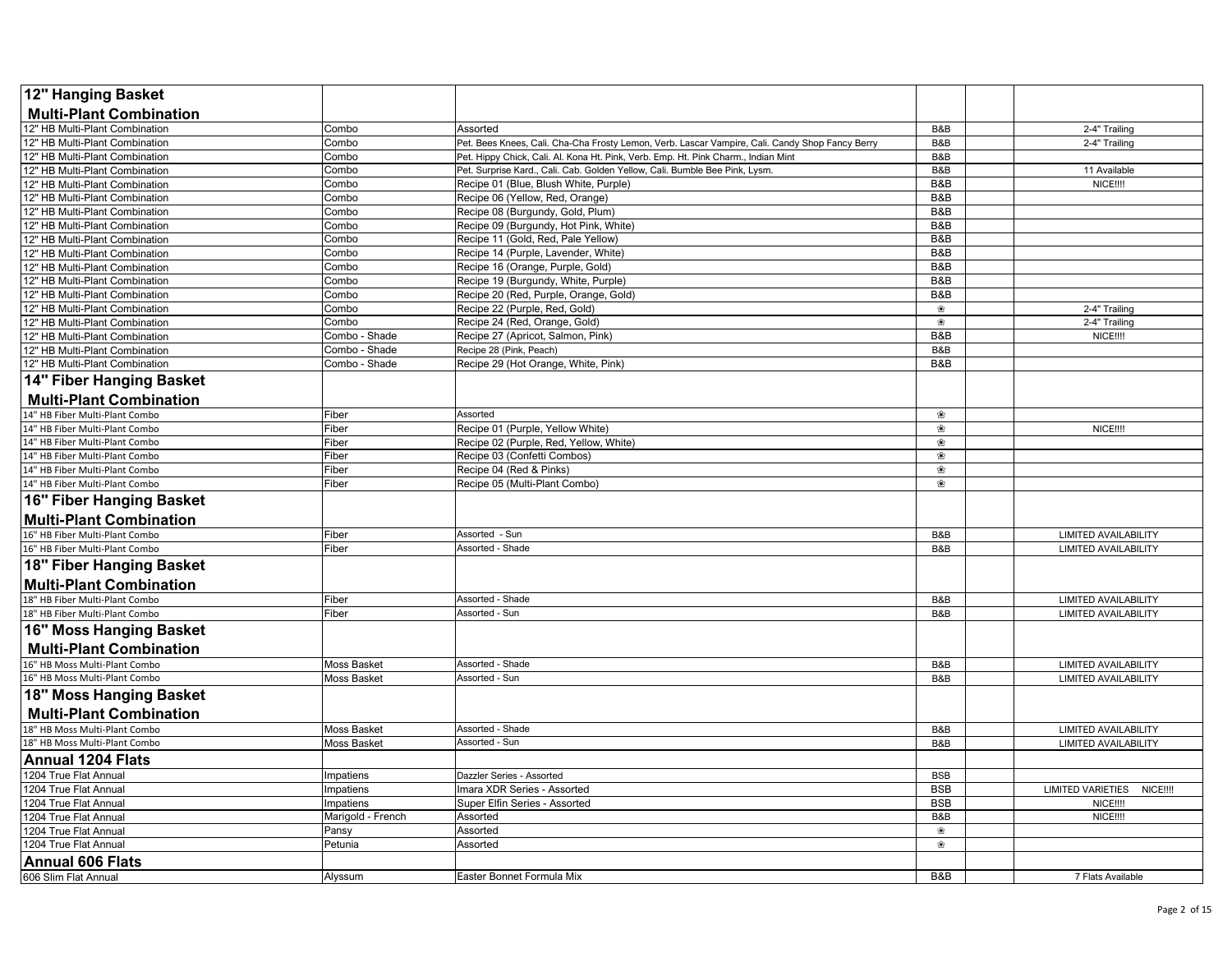| 12" Hanging Basket              |                    |                                                                                                 |            |                                             |
|---------------------------------|--------------------|-------------------------------------------------------------------------------------------------|------------|---------------------------------------------|
| <b>Multi-Plant Combination</b>  |                    |                                                                                                 |            |                                             |
| 12" HB Multi-Plant Combination  | Combo              | Assorted                                                                                        | B&B        | 2-4" Trailing                               |
| 12" HB Multi-Plant Combination  | Combo              | Pet. Bees Knees, Cali. Cha-Cha Frosty Lemon, Verb. Lascar Vampire, Cali. Candy Shop Fancy Berry | B&B        | 2-4" Trailing                               |
| 12" HB Multi-Plant Combination  | Combo              | Pet. Hippy Chick, Cali. Al. Kona Ht. Pink, Verb. Emp. Ht. Pink Charm., Indian Mint              | B&B        |                                             |
| 12" HB Multi-Plant Combination  | Combo              | Pet. Surprise Kard., Cali. Cab. Golden Yellow, Cali. Bumble Bee Pink, Lysm.                     | B&B        | 11 Available                                |
| 12" HB Multi-Plant Combination  | Combo              | Recipe 01 (Blue, Blush White, Purple)                                                           | B&B        | NICE !!!                                    |
| 12" HB Multi-Plant Combination  | Combo              | Recipe 06 (Yellow, Red, Orange)                                                                 | B&B        |                                             |
| 12" HB Multi-Plant Combination  | Combo              | Recipe 08 (Burgundy, Gold, Plum)                                                                | B&B        |                                             |
| 12" HB Multi-Plant Combination  | Combo              | Recipe 09 (Burgundy, Hot Pink, White)                                                           | B&B        |                                             |
| 12" HB Multi-Plant Combination  | Combo              | Recipe 11 (Gold, Red, Pale Yellow)                                                              | B&B        |                                             |
| 12" HB Multi-Plant Combination  | Combo              | Recipe 14 (Purple, Lavender, White)                                                             | B&B        |                                             |
| 12" HB Multi-Plant Combination  | Combo              | Recipe 16 (Orange, Purple, Gold)                                                                | B&B        |                                             |
| 12" HB Multi-Plant Combination  | Combo              | Recipe 19 (Burgundy, White, Purple)                                                             | B&B        |                                             |
| 12" HB Multi-Plant Combination  | Combo              | Recipe 20 (Red, Purple, Orange, Gold)                                                           | B&B        |                                             |
| 12" HB Multi-Plant Combination  | Combo              | Recipe 22 (Purple, Red, Gold)                                                                   | ❀          | 2-4" Trailing                               |
| 12" HB Multi-Plant Combination  | Combo              | Recipe 24 (Red, Orange, Gold)                                                                   | ❀          | 2-4" Trailing                               |
| 12" HB Multi-Plant Combination  | Combo - Shade      | Recipe 27 (Apricot, Salmon, Pink)                                                               | B&B        | NICE !!!!                                   |
| 12" HB Multi-Plant Combination  | Combo - Shade      | Recipe 28 (Pink, Peach)                                                                         | B&B        |                                             |
| 12" HB Multi-Plant Combination  | Combo - Shade      | Recipe 29 (Hot Orange, White, Pink)                                                             | B&B        |                                             |
| 14" Fiber Hanging Basket        |                    |                                                                                                 |            |                                             |
| <b>Multi-Plant Combination</b>  |                    |                                                                                                 |            |                                             |
| 14" HB Fiber Multi-Plant Combo  | Fiber              | Assorted                                                                                        | ❀          |                                             |
| 14" HB Fiber Multi-Plant Combo  | Fiber              | Recipe 01 (Purple, Yellow White)                                                                | ❀          | NICE !!!                                    |
| 14" HB Fiber Multi-Plant Combo  | Fiber              | Recipe 02 (Purple, Red, Yellow, White)                                                          | ❀          |                                             |
| 14" HB Fiber Multi-Plant Combo  | Fiber              | Recipe 03 (Confetti Combos)                                                                     | ❀          |                                             |
| 14" HB Fiber Multi-Plant Combo  | Fiber              | Recipe 04 (Red & Pinks)                                                                         | ❀          |                                             |
| 14" HB Fiber Multi-Plant Combo  | Fiber              | Recipe 05 (Multi-Plant Combo)                                                                   | ❀          |                                             |
| 16" Fiber Hanging Basket        |                    |                                                                                                 |            |                                             |
| <b>Multi-Plant Combination</b>  |                    |                                                                                                 |            |                                             |
| 16" HB Fiber Multi-Plant Combo  | Fiber              | Assorted - Sun                                                                                  | B&B        | <b>LIMITED AVAILABILITY</b>                 |
| 16" HB Fiber Multi-Plant Combo  | Fiber              | <b>Assorted - Shade</b>                                                                         | B&B        | <b>LIMITED AVAILABILITY</b>                 |
| <b>18" Fiber Hanging Basket</b> |                    |                                                                                                 |            |                                             |
| <b>Multi-Plant Combination</b>  |                    |                                                                                                 |            |                                             |
| 18" HB Fiber Multi-Plant Combo  | Fiber              | Assorted - Shade                                                                                | B&B        | <b>LIMITED AVAILABILITY</b>                 |
| 18" HB Fiber Multi-Plant Combo  | -iber              | Assorted - Sun                                                                                  | B&B        | <b>LIMITED AVAILABILITY</b>                 |
| 16" Moss Hanging Basket         |                    |                                                                                                 |            |                                             |
| <b>Multi-Plant Combination</b>  |                    |                                                                                                 |            |                                             |
| 16" HB Moss Multi-Plant Combo   | Moss Basket        | <b>Assorted - Shade</b>                                                                         | B&B        | <b>LIMITED AVAILABILITY</b>                 |
| 16" HB Moss Multi-Plant Combo   | Moss Basket        | Assorted - Sun                                                                                  | B&B        | <b>LIMITED AVAILABILITY</b>                 |
| 18" Moss Hanging Basket         |                    |                                                                                                 |            |                                             |
| <b>Multi-Plant Combination</b>  |                    |                                                                                                 |            |                                             |
| 18" HB Moss Multi-Plant Combo   | <b>Moss Basket</b> | Assorted - Shade                                                                                | B&B        | <b>LIMITED AVAILABILITY</b>                 |
| 18" HB Moss Multi-Plant Combo   | Moss Basket        | Assorted - Sun                                                                                  | B&B        | <b>LIMITED AVAILABILITY</b>                 |
| Annual 1204 Flats               |                    |                                                                                                 |            |                                             |
| 1204 True Flat Annual           | Impatiens          | Dazzler Series - Assorted                                                                       | <b>BSB</b> |                                             |
| 1204 True Flat Annual           | Impatiens          | Imara XDR Series - Assorted                                                                     | <b>BSB</b> | <b>LIMITED VARIETIES</b><br><b>NICE!!!!</b> |
| 1204 True Flat Annual           | Impatiens          | Super Elfin Series - Assorted                                                                   | <b>BSB</b> | <b>NICE!!!!</b>                             |
| 1204 True Flat Annual           | Marigold - French  | Assorted                                                                                        | B&B        | <b>NICE!!!!</b>                             |
| 1204 True Flat Annual           | Pansy              | Assorted                                                                                        | ❀          |                                             |
| 1204 True Flat Annual           | Petunia            | Assorted                                                                                        | ❀          |                                             |
| <b>Annual 606 Flats</b>         |                    |                                                                                                 |            |                                             |
| 606 Slim Flat Annual            | Alyssum            | Easter Bonnet Formula Mix                                                                       | B&B        | 7 Flats Available                           |
|                                 |                    |                                                                                                 |            |                                             |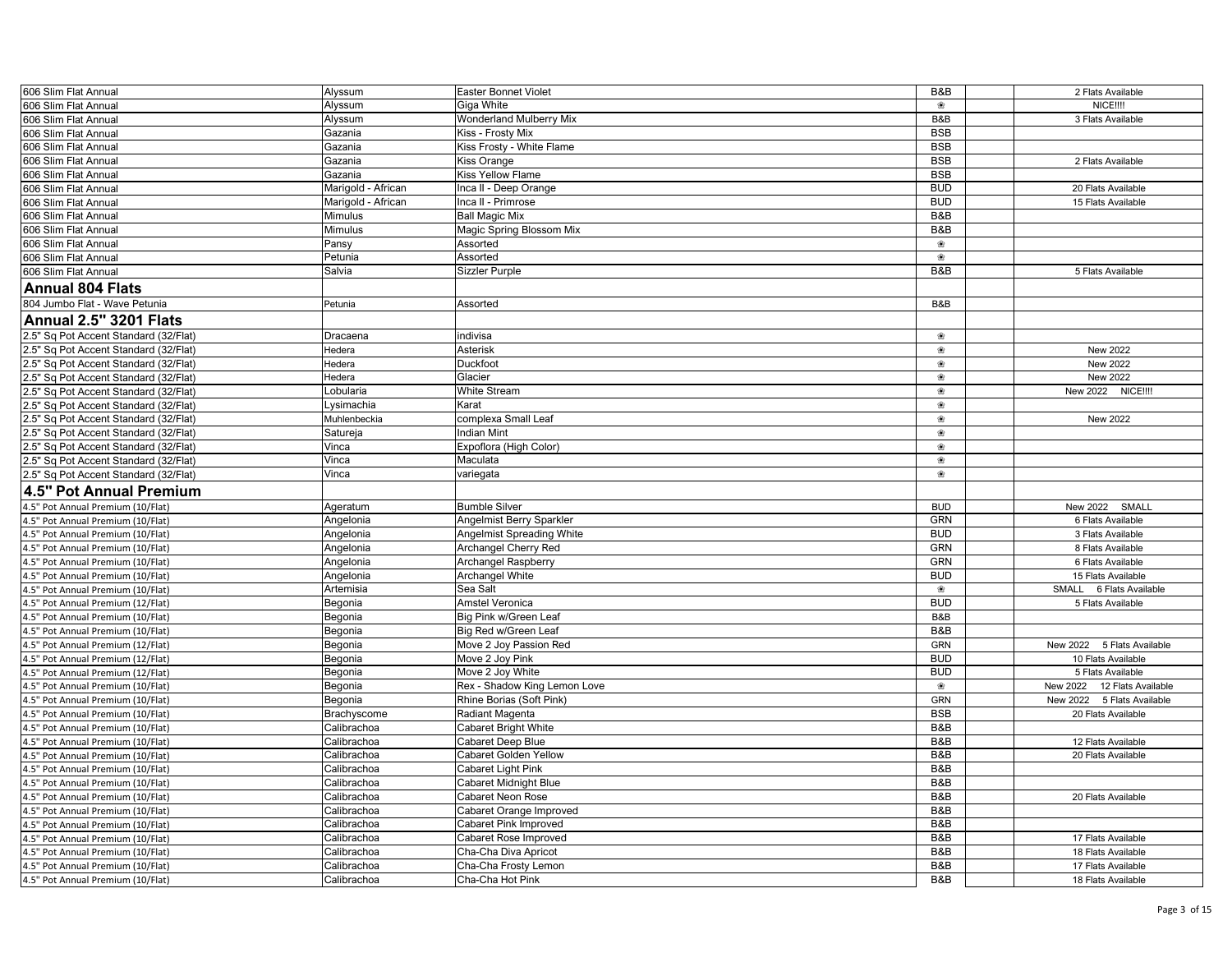| 606 Slim Flat Annual                                                           | Alyssum                   | Easter Bonnet Violet                           | B&B        | 2 Flats Available                       |
|--------------------------------------------------------------------------------|---------------------------|------------------------------------------------|------------|-----------------------------------------|
| 606 Slim Flat Annual                                                           | Alyssum                   | Giga White                                     | ❀          | <b>NICE!!!!</b>                         |
| 606 Slim Flat Annual                                                           | Alyssum                   | <b>Wonderland Mulberry Mix</b>                 | B&B        | 3 Flats Available                       |
| 606 Slim Flat Annual                                                           | Gazania                   | Kiss - Frosty Mix                              | <b>BSB</b> |                                         |
| 606 Slim Flat Annual                                                           | Gazania                   | Kiss Frosty - White Flame                      | <b>BSB</b> |                                         |
| 606 Slim Flat Annual                                                           | Gazania                   | <b>Kiss Orange</b>                             | <b>BSB</b> | 2 Flats Available                       |
| 606 Slim Flat Annual                                                           | Gazania                   | Kiss Yellow Flame                              | <b>BSB</b> |                                         |
| 606 Slim Flat Annual                                                           | Marigold - African        | Inca II - Deep Orange                          | <b>BUD</b> | 20 Flats Available                      |
| 606 Slim Flat Annual                                                           | Marigold - African        | Inca II - Primrose                             | <b>BUD</b> | 15 Flats Available                      |
| 606 Slim Flat Annual                                                           | Mimulus                   | <b>Ball Magic Mix</b>                          | B&B        |                                         |
| 606 Slim Flat Annual                                                           | Mimulus                   | Magic Spring Blossom Mix                       | B&B        |                                         |
| 606 Slim Flat Annual                                                           | Pansy                     | Assorted                                       | ❀          |                                         |
| 606 Slim Flat Annual                                                           | Petunia                   | Assorted                                       | ❀          |                                         |
| 606 Slim Flat Annual                                                           | Salvia                    | Sizzler Purple                                 | B&B        | 5 Flats Available                       |
| <b>Annual 804 Flats</b>                                                        |                           |                                                |            |                                         |
| 804 Jumbo Flat - Wave Petunia                                                  | Petunia                   | Assorted                                       | B&B        |                                         |
| <b>Annual 2.5" 3201 Flats</b>                                                  |                           |                                                |            |                                         |
|                                                                                |                           |                                                |            |                                         |
| 2.5" Sq Pot Accent Standard (32/Flat)                                          | Dracaena                  | indivisa                                       | ❀          |                                         |
| 2.5" Sq Pot Accent Standard (32/Flat)                                          | Hedera                    | Asterisk                                       | ❀          | New 2022                                |
| 2.5" Sq Pot Accent Standard (32/Flat)                                          | Hedera                    | Duckfoot                                       | ❀          | New 2022                                |
| 2.5" Sq Pot Accent Standard (32/Flat)                                          | Hedera<br>Lobularia       | Glacier<br><b>White Stream</b>                 | ❀<br>❀     | New 2022<br>New 2022<br><b>NICE!!!!</b> |
| 2.5" Sq Pot Accent Standard (32/Flat)                                          |                           |                                                | ❀          |                                         |
| 2.5" Sq Pot Accent Standard (32/Flat)                                          | vsimachia<br>Muhlenbeckia | Karat                                          | ❀          | New 2022                                |
| 2.5" Sq Pot Accent Standard (32/Flat)                                          | Satureja                  | complexa Small Leaf<br><b>Indian Mint</b>      | ❀          |                                         |
| 2.5" Sq Pot Accent Standard (32/Flat)<br>2.5" Sq Pot Accent Standard (32/Flat) |                           |                                                | ❀          |                                         |
| 2.5" Sq Pot Accent Standard (32/Flat)                                          | Vinca<br>Vinca            | Expoflora (High Color)<br>Maculata             | ❀          |                                         |
| 2.5" Sq Pot Accent Standard (32/Flat)                                          | Vinca                     | variegata                                      | ❀          |                                         |
|                                                                                |                           |                                                |            |                                         |
| 4.5" Pot Annual Premium                                                        |                           |                                                |            |                                         |
| 4.5" Pot Annual Premium (10/Flat)                                              | Ageratum                  | <b>Bumble Silver</b>                           | <b>BUD</b> | New 2022<br>SMALL                       |
| 4.5" Pot Annual Premium (10/Flat)                                              | Angelonia                 | Angelmist Berry Sparkler                       | GRN        | 6 Flats Available                       |
| 4.5" Pot Annual Premium (10/Flat)                                              | Angelonia                 | <b>Angelmist Spreading White</b>               | <b>BUD</b> | 3 Flats Available                       |
| 4.5" Pot Annual Premium (10/Flat)                                              | Angelonia                 | Archangel Cherry Red                           | <b>GRN</b> | 8 Flats Available                       |
| 4.5" Pot Annual Premium (10/Flat)                                              | Angelonia                 | Archangel Raspberry                            | GRN        | 6 Flats Available                       |
| 4.5" Pot Annual Premium (10/Flat)                                              | Angelonia                 | Archangel White                                | <b>BUD</b> | 15 Flats Available                      |
| 4.5" Pot Annual Premium (10/Flat)                                              | Artemisia                 | Sea Salt                                       | ❀          | SMALL 6 Flats Available                 |
| 4.5" Pot Annual Premium (12/Flat)                                              | Begonia                   | <b>Amstel Veronica</b>                         | <b>BUD</b> | 5 Flats Available                       |
| 4.5" Pot Annual Premium (10/Flat)                                              | Begonia                   | Big Pink w/Green Leaf                          | B&B<br>B&B |                                         |
| 4.5" Pot Annual Premium (10/Flat)                                              | Begonia                   | Big Red w/Green Leaf<br>Move 2 Joy Passion Red | <b>GRN</b> | New 2022 5 Flats Available              |
| 4.5" Pot Annual Premium (12/Flat)<br>4.5" Pot Annual Premium (12/Flat)         | Begonia<br>Begonia        | Move 2 Joy Pink                                | <b>BUD</b> | 10 Flats Available                      |
|                                                                                |                           | Move 2 Joy White                               | <b>BUD</b> | 5 Flats Available                       |
| 4.5" Pot Annual Premium (12/Flat)<br>4.5" Pot Annual Premium (10/Flat)         | Begonia<br>Begonia        | Rex - Shadow King Lemon Love                   | ❀          | New 2022<br>12 Flats Available          |
| 4.5" Pot Annual Premium (10/Flat)                                              | Begonia                   | Rhine Borias (Soft Pink)                       | <b>GRN</b> | New 2022 5 Flats Available              |
| 4.5" Pot Annual Premium (10/Flat)                                              | Brachyscome               | Radiant Magenta                                | <b>BSB</b> | 20 Flats Available                      |
| 4.5" Pot Annual Premium (10/Flat)                                              | Calibrachoa               | <b>Cabaret Bright White</b>                    | B&B        |                                         |
| 4.5" Pot Annual Premium (10/Flat)                                              | Calibrachoa               | Cabaret Deep Blue                              | B&B        | 12 Flats Available                      |
| 4.5" Pot Annual Premium (10/Flat)                                              | Calibrachoa               | Cabaret Golden Yellow                          | B&B        | 20 Flats Available                      |
| 4.5" Pot Annual Premium (10/Flat)                                              | Calibrachoa               | Cabaret Light Pink                             | B&B        |                                         |
| 4.5" Pot Annual Premium (10/Flat)                                              | Calibrachoa               | <b>Cabaret Midnight Blue</b>                   | B&B        |                                         |
| 4.5" Pot Annual Premium (10/Flat)                                              | Calibrachoa               | Cabaret Neon Rose                              | B&B        | 20 Flats Available                      |
| 4.5" Pot Annual Premium (10/Flat)                                              | Calibrachoa               | Cabaret Orange Improved                        | B&B        |                                         |
| 4.5" Pot Annual Premium (10/Flat)                                              | Calibrachoa               | Cabaret Pink Improved                          | B&B        |                                         |
| 4.5" Pot Annual Premium (10/Flat)                                              | Calibrachoa               | Cabaret Rose Improved                          | B&B        | 17 Flats Available                      |
| 4.5" Pot Annual Premium (10/Flat)                                              | Calibrachoa               | Cha-Cha Diva Apricot                           | B&B        | 18 Flats Available                      |
| 4.5" Pot Annual Premium (10/Flat)                                              | Calibrachoa               | Cha-Cha Frosty Lemon                           | B&B        | 17 Flats Available                      |
| 4.5" Pot Annual Premium (10/Flat)                                              | Calibrachoa               | Cha-Cha Hot Pink                               | B&B        | 18 Flats Available                      |
|                                                                                |                           |                                                |            |                                         |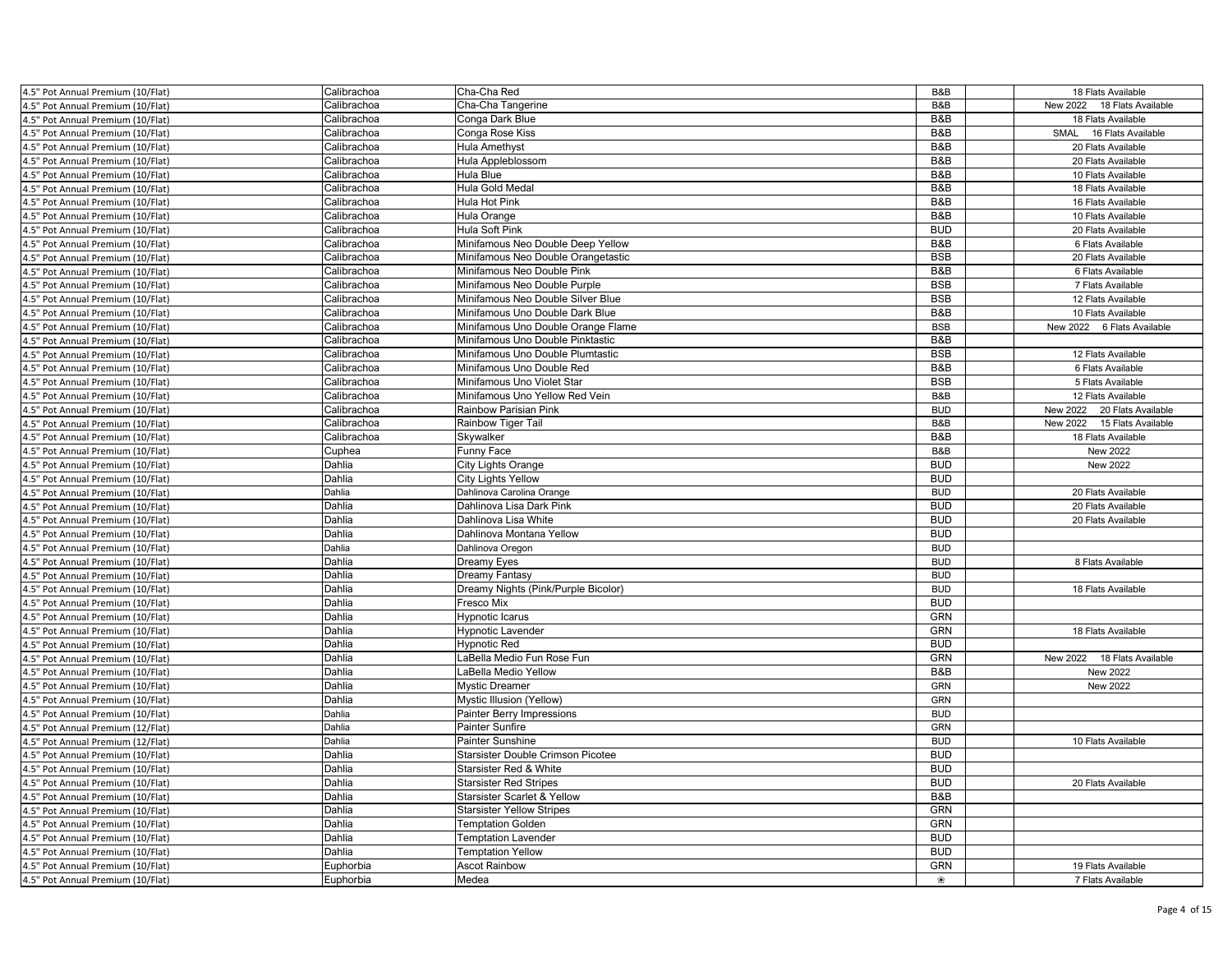| 4.5" Pot Annual Premium (10/Flat) | Calibrachoa | Cha-Cha Red                         | B&B        | 18 Flats Available             |
|-----------------------------------|-------------|-------------------------------------|------------|--------------------------------|
| 4.5" Pot Annual Premium (10/Flat) | Calibrachoa | Cha-Cha Tangerine                   | B&B        | New 2022 18 Flats Available    |
| 4.5" Pot Annual Premium (10/Flat) | Calibrachoa | Conga Dark Blue                     | B&B        | 18 Flats Available             |
| 4.5" Pot Annual Premium (10/Flat) | Calibrachoa | Conga Rose Kiss                     | B&B        | 16 Flats Available<br>SMAL     |
| 4.5" Pot Annual Premium (10/Flat) | Calibrachoa | Hula Amethyst                       | B&B        | 20 Flats Available             |
| 4.5" Pot Annual Premium (10/Flat) | Calibrachoa | Hula Appleblossom                   | B&B        | 20 Flats Available             |
| 4.5" Pot Annual Premium (10/Flat) | Calibrachoa | Hula Blue                           | B&B        | 10 Flats Available             |
| 4.5" Pot Annual Premium (10/Flat) | Calibrachoa | Hula Gold Medal                     | B&B        | 18 Flats Available             |
| 4.5" Pot Annual Premium (10/Flat) | Calibrachoa | Hula Hot Pink                       | B&B        | 16 Flats Available             |
| 4.5" Pot Annual Premium (10/Flat) | Calibrachoa | Hula Orange                         | B&B        | 10 Flats Available             |
| 4.5" Pot Annual Premium (10/Flat) | Calibrachoa | Hula Soft Pink                      | <b>BUD</b> | 20 Flats Available             |
| 4.5" Pot Annual Premium (10/Flat) | Calibrachoa | Minifamous Neo Double Deep Yellow   | B&B        | 6 Flats Available              |
| 4.5" Pot Annual Premium (10/Flat) | Calibrachoa | Minifamous Neo Double Orangetastic  | <b>BSB</b> | 20 Flats Available             |
| 4.5" Pot Annual Premium (10/Flat) | Calibrachoa | Minifamous Neo Double Pink          | B&B        | 6 Flats Available              |
| 4.5" Pot Annual Premium (10/Flat) | Calibrachoa | Minifamous Neo Double Purple        | <b>BSB</b> | 7 Flats Available              |
| 4.5" Pot Annual Premium (10/Flat) | Calibrachoa | Minifamous Neo Double Silver Blue   | <b>BSB</b> | 12 Flats Available             |
| 4.5" Pot Annual Premium (10/Flat) | Calibrachoa | Minifamous Uno Double Dark Blue     | B&B        | 10 Flats Available             |
| 4.5" Pot Annual Premium (10/Flat) | Calibrachoa | Minifamous Uno Double Orange Flame  | <b>BSB</b> | New 2022<br>6 Flats Available  |
| 4.5" Pot Annual Premium (10/Flat) | Calibrachoa | Minifamous Uno Double Pinktastic    | B&B        |                                |
| 4.5" Pot Annual Premium (10/Flat) | Calibrachoa | Minifamous Uno Double Plumtastic    | <b>BSB</b> | 12 Flats Available             |
| 4.5" Pot Annual Premium (10/Flat) | Calibrachoa | Minifamous Uno Double Red           | B&B        | 6 Flats Available              |
| 4.5" Pot Annual Premium (10/Flat) | Calibrachoa | Minifamous Uno Violet Star          | <b>BSB</b> | 5 Flats Available              |
| 4.5" Pot Annual Premium (10/Flat) | Calibrachoa | Minifamous Uno Yellow Red Vein      | B&B        | 12 Flats Available             |
| 4.5" Pot Annual Premium (10/Flat) | Calibrachoa | Rainbow Parisian Pink               | <b>BUD</b> | New 2022<br>20 Flats Available |
| 4.5" Pot Annual Premium (10/Flat) | Calibrachoa | Rainbow Tiger Tail                  | B&B        | New 2022<br>15 Flats Available |
| 4.5" Pot Annual Premium (10/Flat) | Calibrachoa | Skywalker                           | B&B        | 18 Flats Available             |
| 4.5" Pot Annual Premium (10/Flat) | Cuphea      | Funny Face                          | B&B        | New 2022                       |
| 4.5" Pot Annual Premium (10/Flat) | Dahlia      | <b>City Lights Orange</b>           | <b>BUD</b> | New 2022                       |
| 4.5" Pot Annual Premium (10/Flat) | Dahlia      | <b>City Lights Yellow</b>           | <b>BUD</b> |                                |
| 4.5" Pot Annual Premium (10/Flat) | Dahlia      | Dahlinova Carolina Orange           | <b>BUD</b> | 20 Flats Available             |
| 4.5" Pot Annual Premium (10/Flat) | Dahlia      | Dahlinova Lisa Dark Pink            | <b>BUD</b> | 20 Flats Available             |
| 4.5" Pot Annual Premium (10/Flat) | Dahlia      | Dahlinova Lisa White                | <b>BUD</b> | 20 Flats Available             |
| 4.5" Pot Annual Premium (10/Flat) | Dahlia      | Dahlinova Montana Yellow            | <b>BUD</b> |                                |
| 4.5" Pot Annual Premium (10/Flat) | Dahlia      | Dahlinova Oregon                    | <b>BUD</b> |                                |
| 4.5" Pot Annual Premium (10/Flat) | Dahlia      | Dreamy Eyes                         | <b>BUD</b> | 8 Flats Available              |
| 4.5" Pot Annual Premium (10/Flat) | Dahlia      | Dreamy Fantasy                      | <b>BUD</b> |                                |
| 4.5" Pot Annual Premium (10/Flat) | Dahlia      | Dreamy Nights (Pink/Purple Bicolor) | <b>BUD</b> | 18 Flats Available             |
| 4.5" Pot Annual Premium (10/Flat) | Dahlia      | Fresco Mix                          | <b>BUD</b> |                                |
| 4.5" Pot Annual Premium (10/Flat) | Dahlia      | Hypnotic Icarus                     | <b>GRN</b> |                                |
| 4.5" Pot Annual Premium (10/Flat) | Dahlia      | <b>Hypnotic Lavender</b>            | <b>GRN</b> | 18 Flats Available             |
| 4.5" Pot Annual Premium (10/Flat) | Dahlia      | <b>Hypnotic Red</b>                 | <b>BUD</b> |                                |
| 4.5" Pot Annual Premium (10/Flat) | Dahlia      | LaBella Medio Fun Rose Fun          | <b>GRN</b> | New 2022<br>18 Flats Available |
| 4.5" Pot Annual Premium (10/Flat) | Dahlia      | LaBella Medio Yellow                | B&B        | New 2022                       |
| 4.5" Pot Annual Premium (10/Flat) | Dahlia      | <b>Mystic Dreamer</b>               | <b>GRN</b> | New 2022                       |
| 4.5" Pot Annual Premium (10/Flat) | Dahlia      | Mystic Illusion (Yellow)            | <b>GRN</b> |                                |
| 4.5" Pot Annual Premium (10/Flat) | Dahlia      | Painter Berry Impressions           | <b>BUD</b> |                                |
| 4.5" Pot Annual Premium (12/Flat) | Dahlia      | Painter Sunfire                     | <b>GRN</b> |                                |
| 4.5" Pot Annual Premium (12/Flat) | Dahlia      | Painter Sunshine                    | <b>BUD</b> | 10 Flats Available             |
| 4.5" Pot Annual Premium (10/Flat) | Dahlia      | Starsister Double Crimson Picotee   | <b>BUD</b> |                                |
| 4.5" Pot Annual Premium (10/Flat) | Dahlia      | Starsister Red & White              | <b>BUD</b> |                                |
| 4.5" Pot Annual Premium (10/Flat) | Dahlia      | <b>Starsister Red Stripes</b>       | <b>BUD</b> | 20 Flats Available             |
| 4.5" Pot Annual Premium (10/Flat) | Dahlia      | Starsister Scarlet & Yellow         | B&B        |                                |
| 4.5" Pot Annual Premium (10/Flat) | Dahlia      | <b>Starsister Yellow Stripes</b>    | GRN        |                                |
| 4.5" Pot Annual Premium (10/Flat) | Dahlia      | <b>Temptation Golden</b>            | GRN        |                                |
| 4.5" Pot Annual Premium (10/Flat) | Dahlia      | <b>Temptation Lavender</b>          | <b>BUD</b> |                                |
| 4.5" Pot Annual Premium (10/Flat) | Dahlia      | <b>Temptation Yellow</b>            | <b>BUD</b> |                                |
| 4.5" Pot Annual Premium (10/Flat) | Euphorbia   | <b>Ascot Rainbow</b>                | <b>GRN</b> | 19 Flats Available             |
| 4.5" Pot Annual Premium (10/Flat) | Euphorbia   | Medea                               | ❀          | 7 Flats Available              |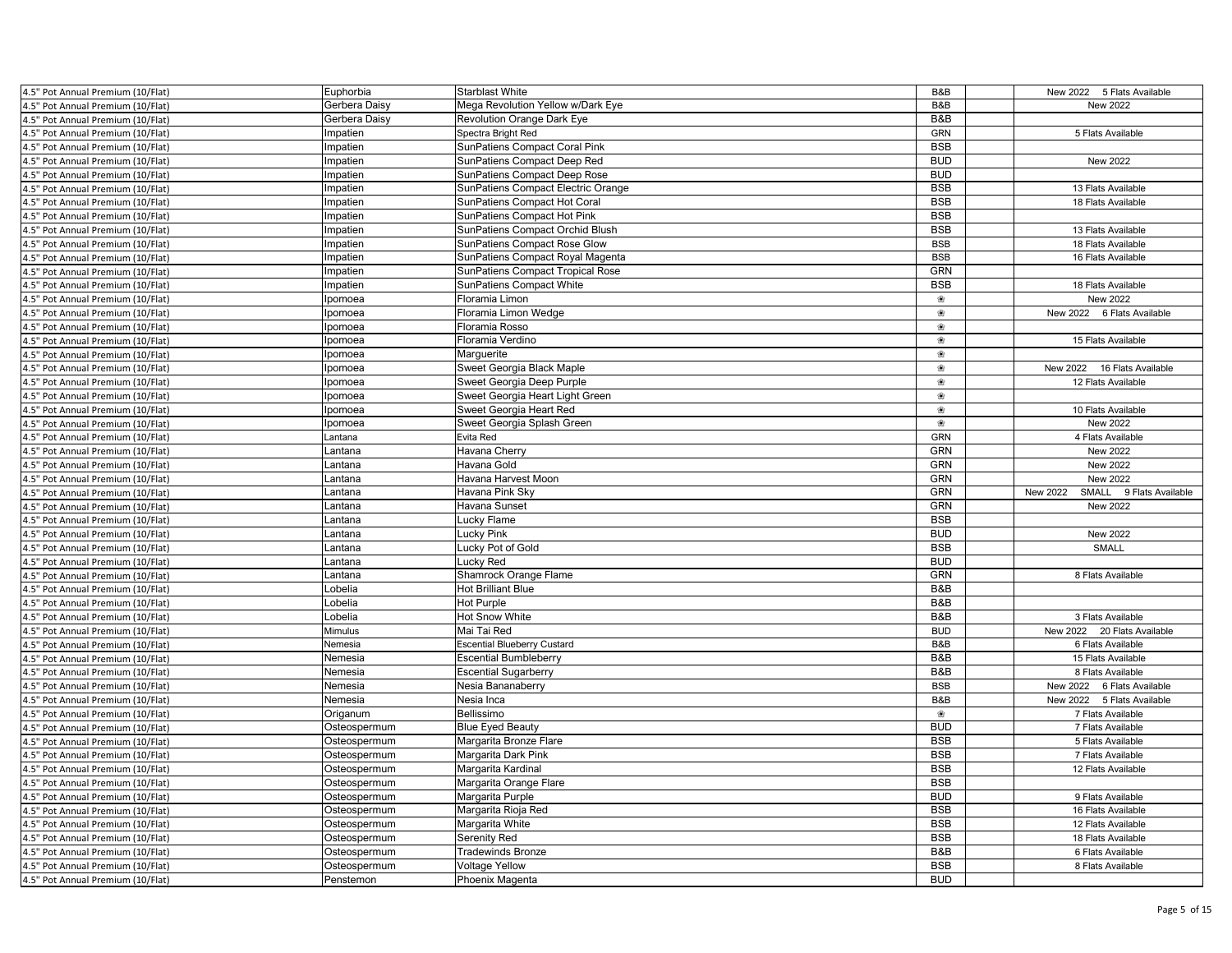| 4.5" Pot Annual Premium (10/Flat)                                      | Euphorbia     | <b>Starblast White</b>             | B&B                      | New 2022 5 Flats Available             |
|------------------------------------------------------------------------|---------------|------------------------------------|--------------------------|----------------------------------------|
| 4.5" Pot Annual Premium (10/Flat)                                      | Gerbera Daisy | Mega Revolution Yellow w/Dark Eye  | B&B                      | New 2022                               |
| 4.5" Pot Annual Premium (10/Flat)                                      | Gerbera Daisy | <b>Revolution Orange Dark Eye</b>  | B&B                      |                                        |
| 4.5" Pot Annual Premium (10/Flat)                                      | mpatien       | Spectra Bright Red                 | <b>GRN</b>               | 5 Flats Available                      |
| 4.5" Pot Annual Premium (10/Flat)                                      | mpatien       | SunPatiens Compact Coral Pink      | <b>BSB</b>               |                                        |
| 4.5" Pot Annual Premium (10/Flat)                                      | mpatien       | SunPatiens Compact Deep Red        | <b>BUD</b>               | New 2022                               |
| 4.5" Pot Annual Premium (10/Flat)                                      | mpatien       | SunPatiens Compact Deep Rose       | <b>BUD</b>               |                                        |
| 4.5" Pot Annual Premium (10/Flat)                                      | mpatien       | SunPatiens Compact Electric Orange | <b>BSB</b>               | 13 Flats Available                     |
| 4.5" Pot Annual Premium (10/Flat)                                      | mpatien       | SunPatiens Compact Hot Coral       | <b>BSB</b>               | 18 Flats Available                     |
| 4.5" Pot Annual Premium (10/Flat)                                      | mpatien       | SunPatiens Compact Hot Pink        | <b>BSB</b>               |                                        |
| 4.5" Pot Annual Premium (10/Flat)                                      | mpatien       | SunPatiens Compact Orchid Blush    | <b>BSB</b>               | 13 Flats Available                     |
| 4.5" Pot Annual Premium (10/Flat)                                      | mpatien       | SunPatiens Compact Rose Glow       | <b>BSB</b>               | 18 Flats Available                     |
| 4.5" Pot Annual Premium (10/Flat)                                      | mpatien       | SunPatiens Compact Royal Magenta   | <b>BSB</b>               | 16 Flats Available                     |
| 4.5" Pot Annual Premium (10/Flat)                                      | mpatien       | SunPatiens Compact Tropical Rose   | <b>GRN</b>               |                                        |
| 4.5" Pot Annual Premium (10/Flat)                                      | mpatien       | <b>SunPatiens Compact White</b>    | <b>BSB</b>               | 18 Flats Available                     |
| 4.5" Pot Annual Premium (10/Flat)                                      | pomoea        | Floramia Limon                     | ❀                        | New 2022                               |
| .5" Pot Annual Premium (10/Flat)                                       | pomoea        | Floramia Limon Wedge               | ❀                        | New 2022 6 Flats Available             |
| 4.5" Pot Annual Premium (10/Flat)                                      | pomoea        | Floramia Rosso                     | ❀                        |                                        |
| 4.5" Pot Annual Premium (10/Flat)                                      | pomoea        | Floramia Verdino                   | ❀                        | 15 Flats Available                     |
| 4.5" Pot Annual Premium (10/Flat)                                      | pomoea        | Marguerite                         | ❀                        |                                        |
| 4.5" Pot Annual Premium (10/Flat)                                      | pomoea        | Sweet Georgia Black Maple          | ❀                        | New 2022<br>16 Flats Available         |
| 4.5" Pot Annual Premium (10/Flat)                                      | pomoea        | Sweet Georgia Deep Purple          | ❀                        | 12 Flats Available                     |
| 4.5" Pot Annual Premium (10/Flat)                                      | pomoea        | Sweet Georgia Heart Light Green    | ❀                        |                                        |
| .5" Pot Annual Premium (10/Flat)                                       | pomoea        | Sweet Georgia Heart Red            | $\circledast$            | 10 Flats Available                     |
| 4.5" Pot Annual Premium (10/Flat)                                      | pomoea        | Sweet Georgia Splash Green         | இ                        | New 2022                               |
| 4.5" Pot Annual Premium (10/Flat)                                      | antana.       | Evita Red                          | <b>GRN</b>               | 4 Flats Available                      |
| 4.5" Pot Annual Premium (10/Flat)                                      | Lantana       | Havana Cherry                      | <b>GRN</b>               | New 2022                               |
| 4.5" Pot Annual Premium (10/Flat)                                      | Lantana       | Havana Gold                        | <b>GRN</b>               | New 2022                               |
| 4.5" Pot Annual Premium (10/Flat)                                      | .antana       | Havana Harvest Moon                | GRN                      | New 2022                               |
|                                                                        |               |                                    |                          |                                        |
| 4.5" Pot Annual Premium (10/Flat)                                      | Lantana       | Havana Pink Sky                    | GRN                      | New 2022<br>SMALL<br>9 Flats Available |
| .5" Pot Annual Premium (10/Flat)                                       | antana        | Havana Sunset                      | <b>GRN</b>               | New 2022                               |
| 4.5" Pot Annual Premium (10/Flat)                                      | Lantana       | Lucky Flame                        | <b>BSB</b>               |                                        |
| .5" Pot Annual Premium (10/Flat)                                       | Lantana       | Lucky Pink                         | <b>BUD</b>               | New 2022                               |
| 4.5" Pot Annual Premium (10/Flat)                                      | Lantana       | Lucky Pot of Gold                  | <b>BSB</b>               | <b>SMALL</b>                           |
| 4.5" Pot Annual Premium (10/Flat)                                      | antana.       | Lucky Red                          | <b>BUD</b>               |                                        |
| 4.5" Pot Annual Premium (10/Flat)                                      | .antana       | Shamrock Orange Flame              | GRN                      | 8 Flats Available                      |
| 4.5" Pot Annual Premium (10/Flat)                                      | .obelia       | <b>Hot Brilliant Blue</b>          | B&B                      |                                        |
| 4.5" Pot Annual Premium (10/Flat)                                      | obelia.       | <b>Hot Purple</b>                  | B&B                      |                                        |
| 4.5" Pot Annual Premium (10/Flat)                                      | Lobelia       | Hot Snow White                     | B&B                      | 3 Flats Available                      |
| .5" Pot Annual Premium (10/Flat)                                       | Mimulus       | Mai Tai Red                        | <b>BUD</b>               | New 2022 20 Flats Available            |
| 4.5" Pot Annual Premium (10/Flat)                                      | Nemesia       | <b>Escential Blueberry Custard</b> | B&B                      | 6 Flats Available                      |
| 4.5" Pot Annual Premium (10/Flat)                                      | Nemesia       | <b>Escential Bumbleberry</b>       | B&B                      | 15 Flats Available                     |
| 4.5" Pot Annual Premium (10/Flat)                                      | Nemesia       | <b>Escential Sugarberry</b>        | B&B                      | 8 Flats Available                      |
| 4.5" Pot Annual Premium (10/Flat)                                      | Nemesia       | Nesia Bananaberry                  | <b>BSB</b>               | New 2022 6 Flats Available             |
| 4.5" Pot Annual Premium (10/Flat)                                      | Nemesia       | Nesia Inca                         | B&B                      | New 2022 5 Flats Available             |
| 4.5" Pot Annual Premium (10/Flat)                                      | Origanum      | Bellissimo                         | ❀                        | 7 Flats Available                      |
| 4.5" Pot Annual Premium (10/Flat)                                      | Osteospermum  | <b>Blue Eyed Beauty</b>            | <b>BUD</b>               | 7 Flats Available                      |
| 4.5" Pot Annual Premium (10/Flat)                                      | Osteospermum  | Margarita Bronze Flare             | <b>BSB</b>               | 5 Flats Available                      |
| 4.5" Pot Annual Premium (10/Flat)                                      | Osteospermum  | Margarita Dark Pink                | <b>BSB</b>               | 7 Flats Available                      |
| 4.5" Pot Annual Premium (10/Flat)                                      | Osteospermum  | Margarita Kardinal                 | <b>BSB</b>               | 12 Flats Available                     |
| 4.5" Pot Annual Premium (10/Flat)                                      | Osteospermum  | Margarita Orange Flare             | <b>BSB</b>               |                                        |
| 4.5" Pot Annual Premium (10/Flat)                                      | Osteospermum  | Margarita Purple                   | <b>BUD</b>               | 9 Flats Available                      |
| 4.5" Pot Annual Premium (10/Flat)                                      | Osteospermum  | Margarita Rioja Red                | <b>BSB</b>               | 16 Flats Available                     |
| 4.5" Pot Annual Premium (10/Flat)                                      | Osteospermum  | Margarita White                    | <b>BSB</b>               | 12 Flats Available                     |
| 4.5" Pot Annual Premium (10/Flat)                                      | Osteospermum  | Serenity Red                       | <b>BSB</b>               | 18 Flats Available                     |
| 4.5" Pot Annual Premium (10/Flat)                                      | Osteospermum  | <b>Tradewinds Bronze</b>           | B&B                      | 6 Flats Available                      |
| 4.5" Pot Annual Premium (10/Flat)<br>4.5" Pot Annual Premium (10/Flat) | Osteospermum  | <b>Voltage Yellow</b>              | <b>BSB</b><br><b>BUD</b> | 8 Flats Available                      |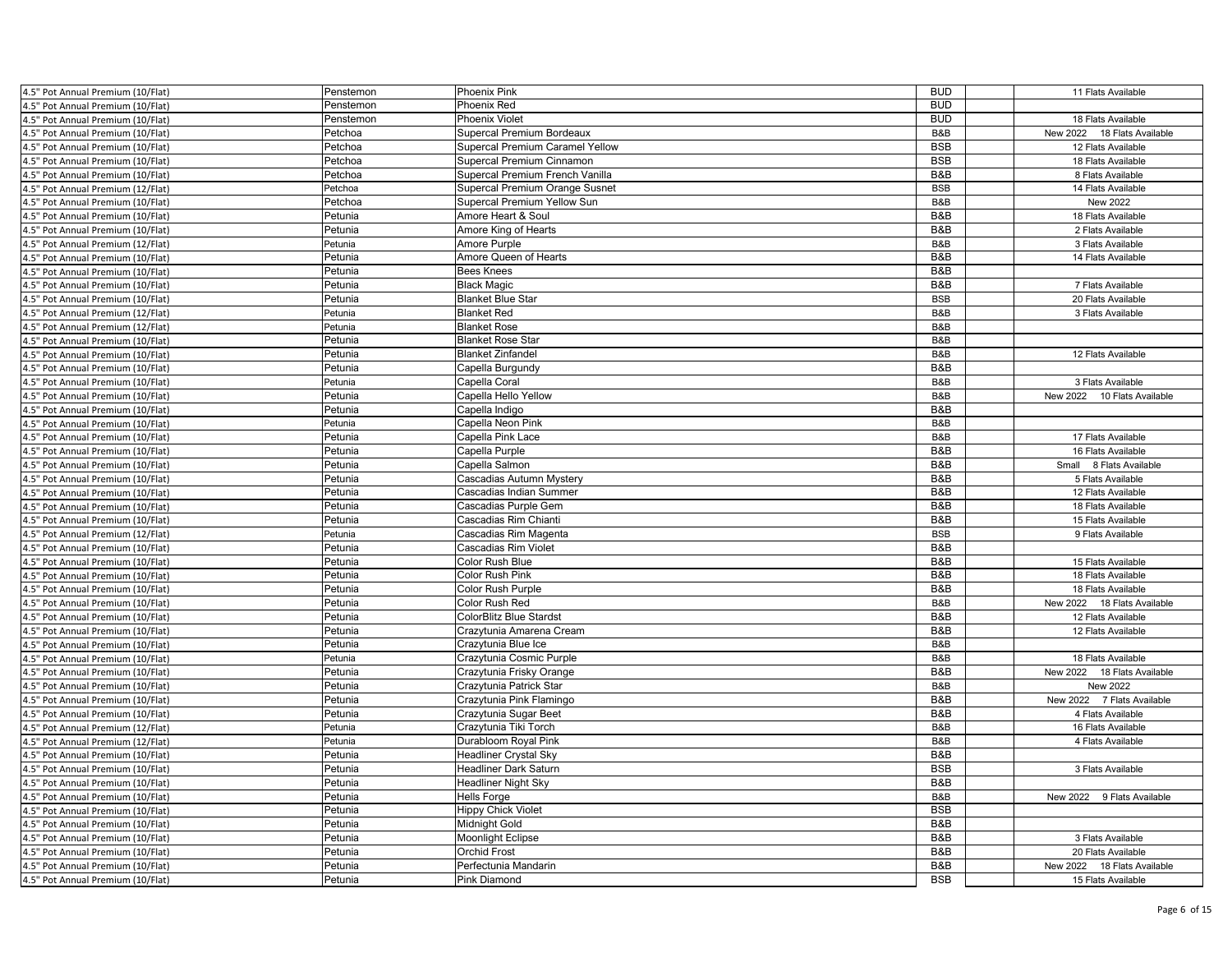| 4.5" Pot Annual Premium (10/Flat) | Penstemon | <b>Phoenix Pink</b>             | <b>BUD</b> | 11 Flats Available             |
|-----------------------------------|-----------|---------------------------------|------------|--------------------------------|
| 4.5" Pot Annual Premium (10/Flat) | Penstemon | Phoenix Red                     | <b>BUD</b> |                                |
| 4.5" Pot Annual Premium (10/Flat) | Penstemon | <b>Phoenix Violet</b>           | <b>BUD</b> | 18 Flats Available             |
| 4.5" Pot Annual Premium (10/Flat) | Petchoa   | Supercal Premium Bordeaux       | B&B        | 18 Flats Available<br>New 2022 |
| 4.5" Pot Annual Premium (10/Flat) | Petchoa   | Supercal Premium Caramel Yellow | <b>BSB</b> | 12 Flats Available             |
| 4.5" Pot Annual Premium (10/Flat) | Petchoa   | Supercal Premium Cinnamon       | <b>BSB</b> | 18 Flats Available             |
| 4.5" Pot Annual Premium (10/Flat) | Petchoa   | Supercal Premium French Vanilla | B&B        | 8 Flats Available              |
| 4.5" Pot Annual Premium (12/Flat) | Petchoa   | Supercal Premium Orange Susnet  | <b>BSB</b> | 14 Flats Available             |
| 4.5" Pot Annual Premium (10/Flat) | Petchoa   | Supercal Premium Yellow Sun     | B&B        | New 2022                       |
| 4.5" Pot Annual Premium (10/Flat) | Petunia   | Amore Heart & Soul              | B&B        | 18 Flats Available             |
| 4.5" Pot Annual Premium (10/Flat) | Petunia   | Amore King of Hearts            | B&B        | 2 Flats Available              |
| 4.5" Pot Annual Premium (12/Flat) | Petunia   | Amore Purple                    | B&B        | 3 Flats Available              |
| 4.5" Pot Annual Premium (10/Flat) | Petunia   | Amore Queen of Hearts           | B&B        | 14 Flats Available             |
| 4.5" Pot Annual Premium (10/Flat) | Petunia   | <b>Bees Knees</b>               | B&B        |                                |
| 4.5" Pot Annual Premium (10/Flat) | Petunia   | <b>Black Magic</b>              | B&B        | 7 Flats Available              |
| 4.5" Pot Annual Premium (10/Flat) | Petunia   | <b>Blanket Blue Star</b>        | <b>BSB</b> | 20 Flats Available             |
| 4.5" Pot Annual Premium (12/Flat) | Petunia   | <b>Blanket Red</b>              | B&B        | 3 Flats Available              |
| 4.5" Pot Annual Premium (12/Flat) | Petunia   | <b>Blanket Rose</b>             | B&B        |                                |
| 4.5" Pot Annual Premium (10/Flat) | Petunia   | <b>Blanket Rose Star</b>        | B&B        |                                |
| 4.5" Pot Annual Premium (10/Flat) | Petunia   | <b>Blanket Zinfandel</b>        | B&B        | 12 Flats Available             |
| 4.5" Pot Annual Premium (10/Flat) | Petunia   | Capella Burgundy                | B&B        |                                |
| 4.5" Pot Annual Premium (10/Flat) | Petunia   | Capella Coral                   | B&B        | 3 Flats Available              |
| 4.5" Pot Annual Premium (10/Flat) | Petunia   | Capella Hello Yellow            | B&B        | New 2022 10 Flats Available    |
| 4.5" Pot Annual Premium (10/Flat) | Petunia   | Capella Indigo                  | B&B        |                                |
| 4.5" Pot Annual Premium (10/Flat) | Petunia   | Capella Neon Pink               | B&B        |                                |
| 4.5" Pot Annual Premium (10/Flat) | Petunia   | Capella Pink Lace               | B&B        | 17 Flats Available             |
| 4.5" Pot Annual Premium (10/Flat) | Petunia   | Capella Purple                  | B&B        | 16 Flats Available             |
| 4.5" Pot Annual Premium (10/Flat) | Petunia   | Capella Salmon                  | B&B        | Small 8 Flats Available        |
| 4.5" Pot Annual Premium (10/Flat) | Petunia   | Cascadias Autumn Mystery        | B&B        | 5 Flats Available              |
| 4.5" Pot Annual Premium (10/Flat) | Petunia   | Cascadias Indian Summer         | B&B        | 12 Flats Available             |
| 4.5" Pot Annual Premium (10/Flat) | Petunia   | Cascadias Purple Gem            | B&B        | 18 Flats Available             |
| 4.5" Pot Annual Premium (10/Flat) | Petunia   | Cascadias Rim Chianti           | B&B        | 15 Flats Available             |
| 4.5" Pot Annual Premium (12/Flat) | Petunia   | Cascadias Rim Magenta           | <b>BSB</b> | 9 Flats Available              |
| 4.5" Pot Annual Premium (10/Flat) | Petunia   | Cascadias Rim Violet            | B&B        |                                |
| 4.5" Pot Annual Premium (10/Flat) | Petunia   | Color Rush Blue                 | B&B        | 15 Flats Available             |
| 4.5" Pot Annual Premium (10/Flat) | Petunia   | Color Rush Pink                 | B&B        | 18 Flats Available             |
| 4.5" Pot Annual Premium (10/Flat) | Petunia   | <b>Color Rush Purple</b>        | B&B        | 18 Flats Available             |
| 4.5" Pot Annual Premium (10/Flat) | Petunia   | Color Rush Red                  | B&B        | New 2022<br>18 Flats Available |
| 4.5" Pot Annual Premium (10/Flat) | Petunia   | <b>ColorBlitz Blue Stardst</b>  | B&B        | 12 Flats Available             |
| 4.5" Pot Annual Premium (10/Flat) | Petunia   | Crazytunia Amarena Cream        | B&B        | 12 Flats Available             |
| 4.5" Pot Annual Premium (10/Flat) | Petunia   | Crazytunia Blue Ice             | B&B        |                                |
| 4.5" Pot Annual Premium (10/Flat) | Petunia   | Crazytunia Cosmic Purple        | B&B        | 18 Flats Available             |
| 4.5" Pot Annual Premium (10/Flat) | Petunia   | Crazytunia Frisky Orange        | B&B        | New 2022 18 Flats Available    |
| 4.5" Pot Annual Premium (10/Flat) | Petunia   | Crazytunia Patrick Star         | B&B        | New 2022                       |
| 4.5" Pot Annual Premium (10/Flat) | Petunia   | Crazytunia Pink Flamingo        | B&B        | New 2022 7 Flats Available     |
| 4.5" Pot Annual Premium (10/Flat) | Petunia   | Crazytunia Sugar Beet           | B&B        | 4 Flats Available              |
| 4.5" Pot Annual Premium (12/Flat) | Petunia   | Crazytunia Tiki Torch           | B&B        | 16 Flats Available             |
| 4.5" Pot Annual Premium (12/Flat) | Petunia   | Durabloom Royal Pink            | B&B        | 4 Flats Available              |
| 4.5" Pot Annual Premium (10/Flat) | Petunia   | <b>Headliner Crystal Sky</b>    | B&B        |                                |
| 4.5" Pot Annual Premium (10/Flat) | Petunia   | <b>Headliner Dark Saturn</b>    | <b>BSB</b> | 3 Flats Available              |
| 4.5" Pot Annual Premium (10/Flat) | Petunia   | <b>Headliner Night Sky</b>      | B&B        |                                |
| 4.5" Pot Annual Premium (10/Flat) | Petunia   | <b>Hells Forge</b>              | B&B        | New 2022<br>9 Flats Available  |
| 4.5" Pot Annual Premium (10/Flat) | Petunia   | <b>Hippy Chick Violet</b>       | <b>BSB</b> |                                |
| 4.5" Pot Annual Premium (10/Flat) | Petunia   | <b>Midnight Gold</b>            | B&B        |                                |
| 4.5" Pot Annual Premium (10/Flat) | Petunia   | <b>Moonlight Eclipse</b>        | B&B        | 3 Flats Available              |
| 4.5" Pot Annual Premium (10/Flat) | Petunia   | <b>Orchid Frost</b>             | B&B        | 20 Flats Available             |
| 4.5" Pot Annual Premium (10/Flat) | Petunia   | Perfectunia Mandarin            | B&B        | New 2022 18 Flats Available    |
| 4.5" Pot Annual Premium (10/Flat) | Petunia   | Pink Diamond                    | <b>BSB</b> | 15 Flats Available             |
|                                   |           |                                 |            |                                |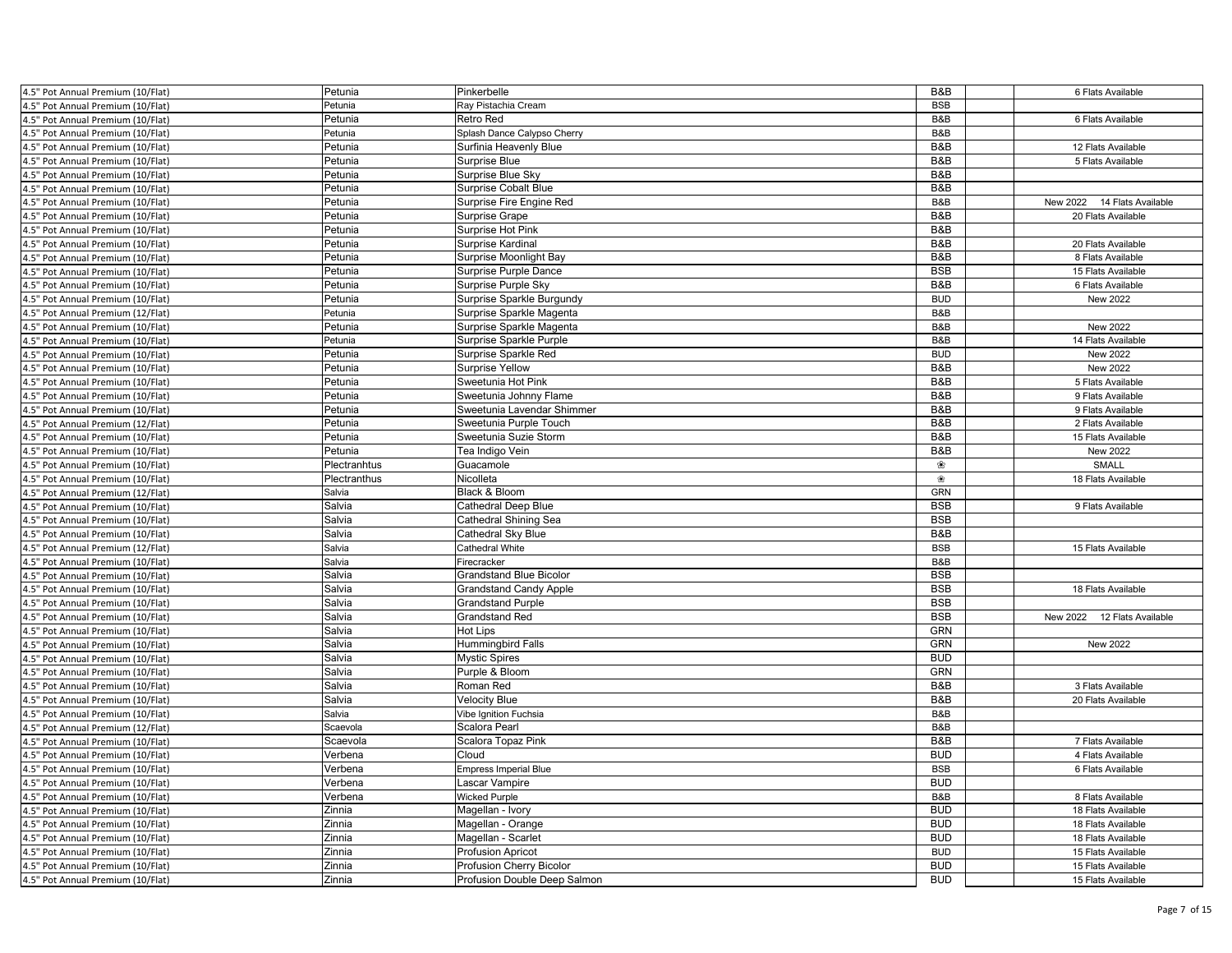| 4.5" Pot Annual Premium (10/Flat) | Petunia            | Pinkerbelle                              | B&B        | 6 Flats Available           |  |
|-----------------------------------|--------------------|------------------------------------------|------------|-----------------------------|--|
| 4.5" Pot Annual Premium (10/Flat) | Petunia            | Ray Pistachia Cream                      | <b>BSB</b> |                             |  |
| 4.5" Pot Annual Premium (10/Flat) | Petunia            | Retro Red                                | B&B        | 6 Flats Available           |  |
| 4.5" Pot Annual Premium (10/Flat) | Petunia            | Splash Dance Calypso Cherry              | B&B        |                             |  |
| 4.5" Pot Annual Premium (10/Flat) | Petunia            | Surfinia Heavenly Blue                   | B&B        | 12 Flats Available          |  |
| 4.5" Pot Annual Premium (10/Flat) | Petunia            | Surprise Blue                            | B&B        | 5 Flats Available           |  |
| 4.5" Pot Annual Premium (10/Flat) | Petunia            | Surprise Blue Sky                        | B&B        |                             |  |
| 4.5" Pot Annual Premium (10/Flat) | Petunia            | <b>Surprise Cobalt Blue</b>              | B&B        |                             |  |
| 4.5" Pot Annual Premium (10/Flat) | Petunia            | Surprise Fire Engine Red                 | B&B        | New 2022 14 Flats Available |  |
| 4.5" Pot Annual Premium (10/Flat) | Petunia            | <b>Surprise Grape</b>                    | B&B        | 20 Flats Available          |  |
| 4.5" Pot Annual Premium (10/Flat) | Petunia            | Surprise Hot Pink                        | B&B        |                             |  |
| 4.5" Pot Annual Premium (10/Flat) | Petunia            | Surprise Kardinal                        | B&B        | 20 Flats Available          |  |
| 4.5" Pot Annual Premium (10/Flat) | Petunia            | Surprise Moonlight Bay                   | B&B        | 8 Flats Available           |  |
| 4.5" Pot Annual Premium (10/Flat) | Petunia            | Surprise Purple Dance                    | <b>BSB</b> | 15 Flats Available          |  |
| 4.5" Pot Annual Premium (10/Flat) | Petunia            | Surprise Purple Sky                      | B&B        | 6 Flats Available           |  |
| 4.5" Pot Annual Premium (10/Flat) | Petunia            | Surprise Sparkle Burgundy                | <b>BUD</b> | New 2022                    |  |
| .5" Pot Annual Premium (12/Flat)  | Petunia            | Surprise Sparkle Magenta                 | B&B        |                             |  |
| 4.5" Pot Annual Premium (10/Flat) | Petunia            | Surprise Sparkle Magenta                 | B&B        | New 2022                    |  |
| 4.5" Pot Annual Premium (10/Flat) | Petunia            | Surprise Sparkle Purple                  | B&B        | 14 Flats Available          |  |
| 4.5" Pot Annual Premium (10/Flat) | Petunia            | Surprise Sparkle Red                     | <b>BUD</b> | New 2022                    |  |
| 4.5" Pot Annual Premium (10/Flat) | Petunia            | <b>Surprise Yellow</b>                   | B&B        | New 2022                    |  |
| 4.5" Pot Annual Premium (10/Flat) | Petunia            | Sweetunia Hot Pink                       | B&B        | 5 Flats Available           |  |
| 4.5" Pot Annual Premium (10/Flat) | Petunia            | Sweetunia Johnny Flame                   | B&B        | 9 Flats Available           |  |
| .5" Pot Annual Premium (10/Flat)  | Petunia            | Sweetunia Lavendar Shimmer               | B&B        | 9 Flats Available           |  |
| 4.5" Pot Annual Premium (12/Flat) | Petunia            | Sweetunia Purple Touch                   | B&B        | 2 Flats Available           |  |
|                                   |                    |                                          | B&B        | 15 Flats Available          |  |
| 4.5" Pot Annual Premium (10/Flat) | Petunia<br>Petunia | Sweetunia Suzie Storm<br>Tea Indigo Vein | B&B        | New 2022                    |  |
| 4.5" Pot Annual Premium (10/Flat) | Plectranhtus       |                                          | ❀          | SMALL                       |  |
| 4.5" Pot Annual Premium (10/Flat) |                    | Guacamole                                | ❀          |                             |  |
| 4.5" Pot Annual Premium (10/Flat) | Plectranthus       | Nicolleta                                |            | 18 Flats Available          |  |
| 4.5" Pot Annual Premium (12/Flat) | Salvia             | Black & Bloom                            | <b>GRN</b> |                             |  |
| .5" Pot Annual Premium (10/Flat)  | Salvia             | <b>Cathedral Deep Blue</b>               | <b>BSB</b> | 9 Flats Available           |  |
| 4.5" Pot Annual Premium (10/Flat) | Salvia             | <b>Cathedral Shining Sea</b>             | <b>BSB</b> |                             |  |
| 4.5" Pot Annual Premium (10/Flat) | Salvia             | Cathedral Sky Blue                       | B&B        |                             |  |
| 4.5" Pot Annual Premium (12/Flat) | Salvia             | Cathedral White                          | <b>BSB</b> | 15 Flats Available          |  |
| 4.5" Pot Annual Premium (10/Flat) | Salvia             | Firecracker                              | B&B        |                             |  |
| 4.5" Pot Annual Premium (10/Flat) | Salvia             | <b>Grandstand Blue Bicolor</b>           | <b>BSB</b> |                             |  |
| 4.5" Pot Annual Premium (10/Flat) | Salvia             | <b>Grandstand Candy Apple</b>            | <b>BSB</b> | 18 Flats Available          |  |
| 4.5" Pot Annual Premium (10/Flat) | Salvia             | <b>Grandstand Purple</b>                 | <b>BSB</b> |                             |  |
| 4.5" Pot Annual Premium (10/Flat) | Salvia             | Grandstand Red                           | <b>BSB</b> | New 2022 12 Flats Available |  |
| .5" Pot Annual Premium (10/Flat)  | Salvia             | Hot Lips                                 | <b>GRN</b> |                             |  |
| 4.5" Pot Annual Premium (10/Flat) | Salvia             | Hummingbird Falls                        | GRN        | New 2022                    |  |
| 4.5" Pot Annual Premium (10/Flat) | Salvia             | <b>Mystic Spires</b>                     | <b>BUD</b> |                             |  |
| 4.5" Pot Annual Premium (10/Flat) | Salvia             | Purple & Bloom                           | GRN        |                             |  |
| 4.5" Pot Annual Premium (10/Flat) | Salvia             | Roman Red                                | B&B        | 3 Flats Available           |  |
| 4.5" Pot Annual Premium (10/Flat) | Salvia             | Velocity Blue                            | B&B        | 20 Flats Available          |  |
| 4.5" Pot Annual Premium (10/Flat) | Salvia             | Vibe Ignition Fuchsia                    | B&B        |                             |  |
| 4.5" Pot Annual Premium (12/Flat) | Scaevola           | Scalora Pearl                            | B&B        |                             |  |
| 4.5" Pot Annual Premium (10/Flat) | Scaevola           | Scalora Topaz Pink                       | B&B        | 7 Flats Available           |  |
| 4.5" Pot Annual Premium (10/Flat) | Verbena            | Cloud                                    | <b>BUD</b> | 4 Flats Available           |  |
| 4.5" Pot Annual Premium (10/Flat) | Verbena            | <b>Empress Imperial Blue</b>             | <b>BSB</b> | 6 Flats Available           |  |
| 4.5" Pot Annual Premium (10/Flat) | Verbena            | Lascar Vampire                           | <b>BUD</b> |                             |  |
| 4.5" Pot Annual Premium (10/Flat) | Verbena            | <b>Wicked Purple</b>                     | B&B        | 8 Flats Available           |  |
| 4.5" Pot Annual Premium (10/Flat) | Zinnia             | Magellan - Ivory                         | <b>BUD</b> | 18 Flats Available          |  |
| 4.5" Pot Annual Premium (10/Flat) | Zinnia             | Magellan - Orange                        | <b>BUD</b> | 18 Flats Available          |  |
| 4.5" Pot Annual Premium (10/Flat) | Zinnia             | Magellan - Scarlet                       | <b>BUD</b> | 18 Flats Available          |  |
| 4.5" Pot Annual Premium (10/Flat) | Zinnia             | <b>Profusion Apricot</b>                 | <b>BUD</b> | 15 Flats Available          |  |
| 4.5" Pot Annual Premium (10/Flat) | Zinnia             | Profusion Cherry Bicolor                 | <b>BUD</b> | 15 Flats Available          |  |
| 4.5" Pot Annual Premium (10/Flat) | Zinnia             | Profusion Double Deep Salmon             | <b>BUD</b> | 15 Flats Available          |  |
|                                   |                    |                                          |            |                             |  |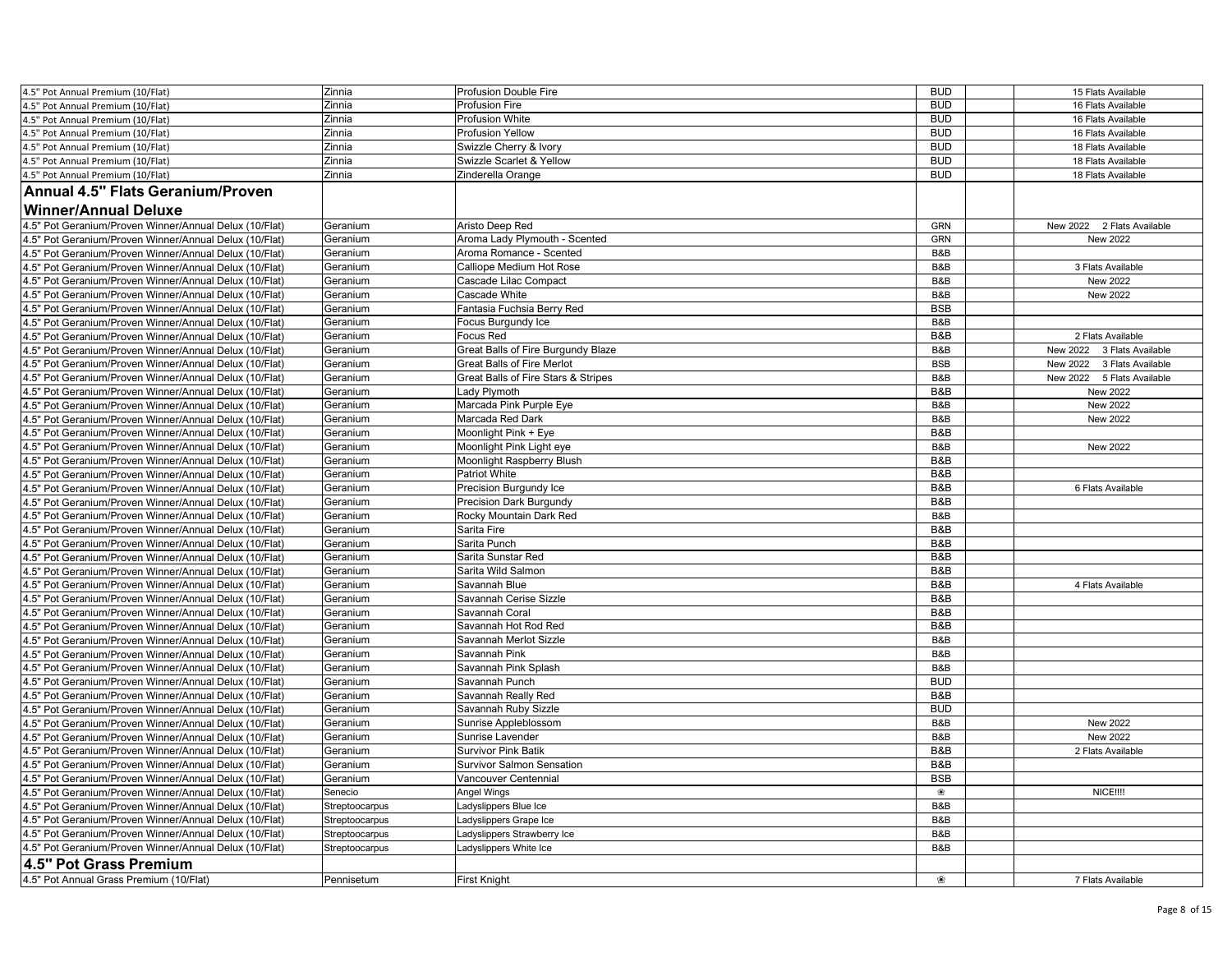| 4.5" Pot Annual Premium (10/Flat)                      | Zinnia         | Profusion Double Fire               | <b>BUD</b> | 15 Flats Available         |
|--------------------------------------------------------|----------------|-------------------------------------|------------|----------------------------|
| 4.5" Pot Annual Premium (10/Flat)                      | Zinnia         | Profusion Fire                      | <b>BUD</b> | 16 Flats Available         |
| 4.5" Pot Annual Premium (10/Flat)                      | Zinnia         | Profusion White                     | <b>BUD</b> | 16 Flats Available         |
| 4.5" Pot Annual Premium (10/Flat)                      | Zinnia         | Profusion Yellow                    | <b>BUD</b> | 16 Flats Available         |
| 4.5" Pot Annual Premium (10/Flat)                      | Zinnia         | Swizzle Cherry & Ivory              | <b>BUD</b> | 18 Flats Available         |
| 4.5" Pot Annual Premium (10/Flat)                      | Zinnia         | Swizzle Scarlet & Yellow            | <b>BUD</b> | 18 Flats Available         |
| 4.5" Pot Annual Premium (10/Flat)                      | Zinnia         | Zinderella Orange                   | <b>BUD</b> | 18 Flats Available         |
| <b>Annual 4.5" Flats Geranium/Proven</b>               |                |                                     |            |                            |
| <b>Winner/Annual Deluxe</b>                            |                |                                     |            |                            |
| 4.5" Pot Geranium/Proven Winner/Annual Delux (10/Flat) | Geranium       | Aristo Deep Red                     | <b>GRN</b> | New 2022 2 Flats Available |
| 4.5" Pot Geranium/Proven Winner/Annual Delux (10/Flat) | Geranium       | Aroma Lady Plymouth - Scented       | <b>GRN</b> | New 2022                   |
| 4.5" Pot Geranium/Proven Winner/Annual Delux (10/Flat) | Geranium       | Aroma Romance - Scented             | B&B        |                            |
| 4.5" Pot Geranium/Proven Winner/Annual Delux (10/Flat) | Geranium       | Calliope Medium Hot Rose            | B&B        | 3 Flats Available          |
| 4.5" Pot Geranium/Proven Winner/Annual Delux (10/Flat) | Geranium       | Cascade Lilac Compact               | B&B        | <b>New 2022</b>            |
| 4.5" Pot Geranium/Proven Winner/Annual Delux (10/Flat) | Geranium       | Cascade White                       | B&B        | New 2022                   |
|                                                        |                |                                     | <b>BSB</b> |                            |
| 4.5" Pot Geranium/Proven Winner/Annual Delux (10/Flat) | Geranium       | Fantasia Fuchsia Berry Red          |            |                            |
| 4.5" Pot Geranium/Proven Winner/Annual Delux (10/Flat) | Geranium       | Focus Burgundy Ice                  | B&B        |                            |
| 4.5" Pot Geranium/Proven Winner/Annual Delux (10/Flat) | Geranium       | Focus Red                           | B&B        | 2 Flats Available          |
| 4.5" Pot Geranium/Proven Winner/Annual Delux (10/Flat) | Geranium       | Great Balls of Fire Burgundy Blaze  | B&B        | New 2022 3 Flats Available |
| 4.5" Pot Geranium/Proven Winner/Annual Delux (10/Flat) | Geranium       | <b>Great Balls of Fire Merlot</b>   | <b>BSB</b> | New 2022 3 Flats Available |
| 4.5" Pot Geranium/Proven Winner/Annual Delux (10/Flat) | Geranium       | Great Balls of Fire Stars & Stripes | B&B        | New 2022 5 Flats Available |
| 4.5" Pot Geranium/Proven Winner/Annual Delux (10/Flat) | Geranium       | Lady Plymoth                        | B&B        | New 2022                   |
| 4.5" Pot Geranium/Proven Winner/Annual Delux (10/Flat) | Geranium       | Marcada Pink Purple Eye             | B&B        | New 2022                   |
| 4.5" Pot Geranium/Proven Winner/Annual Delux (10/Flat) | Geranium       | Marcada Red Dark                    | B&B        | New 2022                   |
| 4.5" Pot Geranium/Proven Winner/Annual Delux (10/Flat) | Geranium       | Moonlight Pink + Eye                | B&B        |                            |
| 4.5" Pot Geranium/Proven Winner/Annual Delux (10/Flat) | Geranium       | Moonlight Pink Light eye            | B&B        | New 2022                   |
| 4.5" Pot Geranium/Proven Winner/Annual Delux (10/Flat) | Geranium       | Moonlight Raspberry Blush           | B&B        |                            |
| 4.5" Pot Geranium/Proven Winner/Annual Delux (10/Flat) | Geranium       | Patriot White                       | B&B        |                            |
| 4.5" Pot Geranium/Proven Winner/Annual Delux (10/Flat) | Geranium       | Precision Burgundy Ice              | B&B        | 6 Flats Available          |
| .5" Pot Geranium/Proven Winner/Annual Delux (10/Flat)  | Geranium       | <b>Precision Dark Burgundy</b>      | B&B        |                            |
| 4.5" Pot Geranium/Proven Winner/Annual Delux (10/Flat) | Geranium       | Rocky Mountain Dark Red             | B&B        |                            |
| 4.5" Pot Geranium/Proven Winner/Annual Delux (10/Flat) | Geranium       | Sarita Fire                         | B&B        |                            |
| 4.5" Pot Geranium/Proven Winner/Annual Delux (10/Flat) | Geranium       | Sarita Punch                        | B&B        |                            |
| 4.5" Pot Geranium/Proven Winner/Annual Delux (10/Flat) | Geranium       | Sarita Sunstar Red                  | B&B        |                            |
| 4.5" Pot Geranium/Proven Winner/Annual Delux (10/Flat) | Geranium       | Sarita Wild Salmon                  | B&B        |                            |
| 4.5" Pot Geranium/Proven Winner/Annual Delux (10/Flat) | Geranium       | Savannah Blue                       | B&B        | 4 Flats Available          |
| 4.5" Pot Geranium/Proven Winner/Annual Delux (10/Flat) | Geranium       | Savannah Cerise Sizzle              | B&B        |                            |
| 4.5" Pot Geranium/Proven Winner/Annual Delux (10/Flat) | Geranium       | Savannah Coral                      | B&B        |                            |
| 4.5" Pot Geranium/Proven Winner/Annual Delux (10/Flat) | Geranium       | Savannah Hot Rod Red                | B&B        |                            |
| 4.5" Pot Geranium/Proven Winner/Annual Delux (10/Flat) | Geranium       | Savannah Merlot Sizzle              | B&B        |                            |
| 4.5" Pot Geranium/Proven Winner/Annual Delux (10/Flat) | Geranium       | Savannah Pink                       | B&B        |                            |
| 4.5" Pot Geranium/Proven Winner/Annual Delux (10/Flat) | Geranium       | Savannah Pink Splash                | B&B        |                            |
| 4.5" Pot Geranium/Proven Winner/Annual Delux (10/Flat) | Geranium       | Savannah Punch                      | <b>BUD</b> |                            |
| 4.5" Pot Geranium/Proven Winner/Annual Delux (10/Flat) | Geranium       | Savannah Really Red                 | B&B        |                            |
| 4.5" Pot Geranium/Proven Winner/Annual Delux (10/Flat) | Geranium       | Savannah Ruby Sizzle                | <b>BUD</b> |                            |
| 4.5" Pot Geranium/Proven Winner/Annual Delux (10/Flat) | Geranium       | Sunrise Appleblossom                | B&B        | New 2022                   |
| 4.5" Pot Geranium/Proven Winner/Annual Delux (10/Flat) | Geranium       | Sunrise Lavender                    | B&B        | New 2022                   |
| 4.5" Pot Geranium/Proven Winner/Annual Delux (10/Flat) | Geranium       | <b>Survivor Pink Batik</b>          | B&B        | 2 Flats Available          |
| 4.5" Pot Geranium/Proven Winner/Annual Delux (10/Flat) | Geranium       | Survivor Salmon Sensation           | B&B        |                            |
| 4.5" Pot Geranium/Proven Winner/Annual Delux (10/Flat) | Geranium       | Vancouver Centennial                | <b>BSB</b> |                            |
| 4.5" Pot Geranium/Proven Winner/Annual Delux (10/Flat) | Senecio        | <b>Angel Wings</b>                  | ❀          | <b>NICE!!!!</b>            |
| 4.5" Pot Geranium/Proven Winner/Annual Delux (10/Flat) | Streptoocarpus | Ladyslippers Blue Ice               | B&B        |                            |
| 4.5" Pot Geranium/Proven Winner/Annual Delux (10/Flat) | Streptoocarpus | adyslippers Grape Ice               | B&B        |                            |
| 4.5" Pot Geranium/Proven Winner/Annual Delux (10/Flat) | Streptoocarpus | adyslippers Strawberry Ice          | B&B        |                            |
| 4.5" Pot Geranium/Proven Winner/Annual Delux (10/Flat) | Streptoocarpus | Ladyslippers White Ice              | B&B        |                            |
| 4.5" Pot Grass Premium                                 |                |                                     |            |                            |
| 4.5" Pot Annual Grass Premium (10/Flat)                | Pennisetum     | <b>First Knight</b>                 | ❀          | 7 Flats Available          |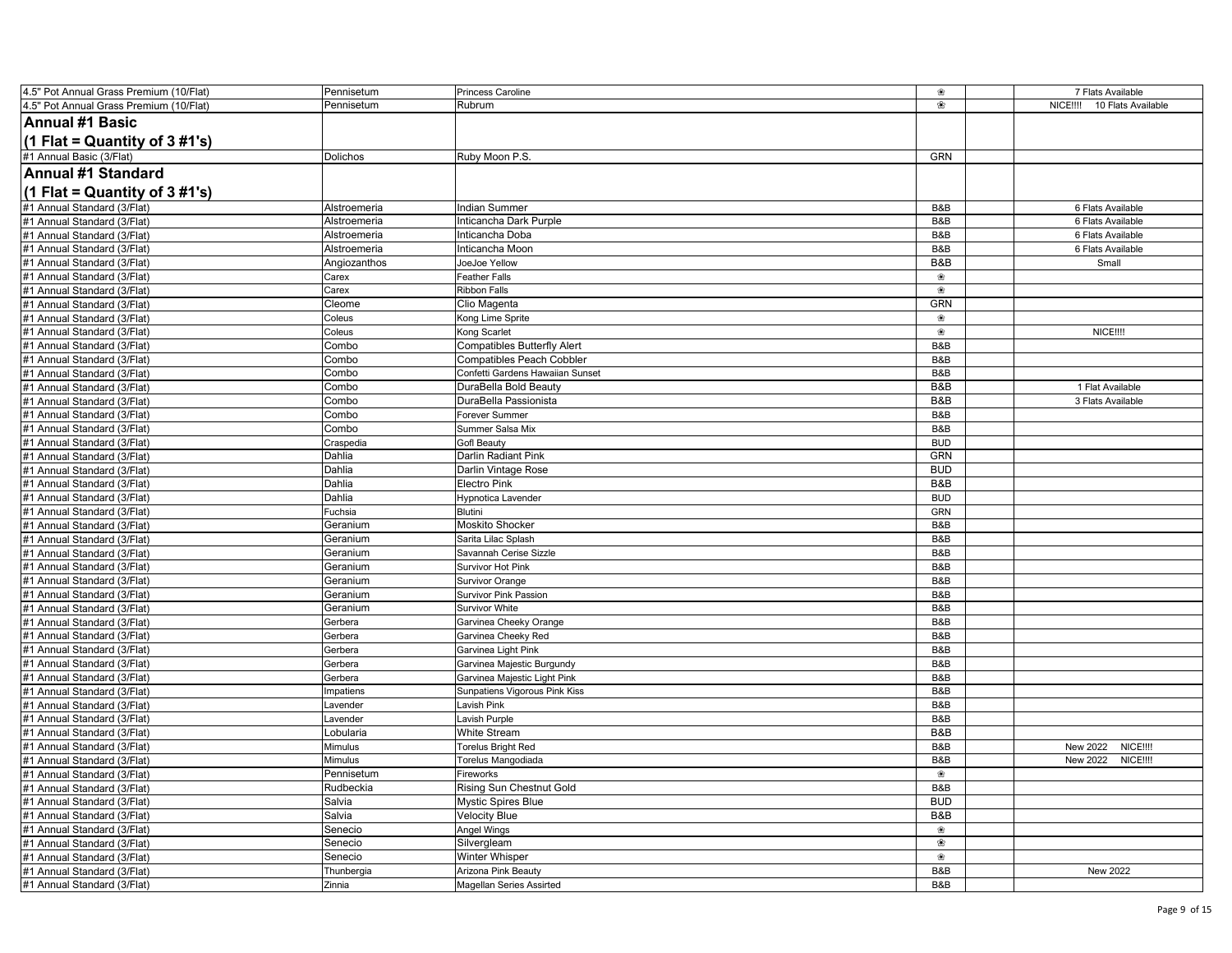| 4.5" Pot Annual Grass Premium (10/Flat) | Pennisetum   | Princess Caroline                  | ❀          | 7 Flats Available                     |
|-----------------------------------------|--------------|------------------------------------|------------|---------------------------------------|
| 4.5" Pot Annual Grass Premium (10/Flat) | Pennisetum   | Rubrum                             | ❀          | 10 Flats Available<br><b>NICE!!!!</b> |
| <b>Annual #1 Basic</b>                  |              |                                    |            |                                       |
| (1 Flat = Quantity of $3 \# 1's$ )      |              |                                    |            |                                       |
| #1 Annual Basic (3/Flat)                | Dolichos     | Ruby Moon P.S.                     | GRN        |                                       |
| Annual #1 Standard                      |              |                                    |            |                                       |
| (1 Flat = Quantity of $3\#1's$ )        |              |                                    |            |                                       |
| #1 Annual Standard (3/Flat)             | Alstroemeria | <b>Indian Summer</b>               | B&B        | 6 Flats Available                     |
| #1 Annual Standard (3/Flat)             | Alstroemeria | Inticancha Dark Purple             | B&B        | 6 Flats Available                     |
| #1 Annual Standard (3/Flat)             | Alstroemeria | Inticancha Doba                    | B&B        | 6 Flats Available                     |
| #1 Annual Standard (3/Flat)             | Alstroemeria | Inticancha Moon                    | B&B        | 6 Flats Available                     |
| #1 Annual Standard (3/Flat)             | Angiozanthos | JoeJoe Yellow                      | B&B        | Small                                 |
| #1 Annual Standard (3/Flat)             | Carex        | <b>Feather Falls</b>               | ❀          |                                       |
| #1 Annual Standard (3/Flat)             | Carex        | <b>Ribbon Falls</b>                | ❀          |                                       |
| #1 Annual Standard (3/Flat)             | Cleome       | Clio Magenta                       | <b>GRN</b> |                                       |
| #1 Annual Standard (3/Flat)             | Coleus       | Kong Lime Sprite                   | ❀          |                                       |
| #1 Annual Standard (3/Flat)             | Coleus       | Kong Scarlet                       | ❀          | NICE !!!!                             |
| #1 Annual Standard (3/Flat)             | Combo        | <b>Compatibles Butterfly Alert</b> | B&B        |                                       |
| #1 Annual Standard (3/Flat)             | Combo        | Compatibles Peach Cobbler          | B&B        |                                       |
| #1 Annual Standard (3/Flat)             | Combo        | Confetti Gardens Hawaiian Sunset   | B&B        |                                       |
| #1 Annual Standard (3/Flat)             | Combo        | DuraBella Bold Beauty              | B&B        | 1 Flat Available                      |
| #1 Annual Standard (3/Flat)             | Combo        | DuraBella Passionista              | B&B        | 3 Flats Available                     |
| #1 Annual Standard (3/Flat)             | Combo        | Forever Summer                     | B&B        |                                       |
| #1 Annual Standard (3/Flat)             | Combo        | Summer Salsa Mix                   | B&B        |                                       |
| #1 Annual Standard (3/Flat              | Craspedia    | <b>Gofl Beauty</b>                 | <b>BUD</b> |                                       |
| #1 Annual Standard (3/Flat)             | Dahlia       | Darlin Radiant Pink                | <b>GRN</b> |                                       |
| #1 Annual Standard (3/Flat)             | Dahlia       | Darlin Vintage Rose                | <b>BUD</b> |                                       |
| #1 Annual Standard (3/Flat)             | Dahlia       | <b>Electro Pink</b>                | B&B        |                                       |
| #1 Annual Standard (3/Flat)             | Dahlia       | Hypnotica Lavender                 | <b>BUD</b> |                                       |
| #1 Annual Standard (3/Flat)             | Fuchsia      | Blutini                            | GRN        |                                       |
| #1 Annual Standard (3/Flat)             | Geranium     | <b>Moskito Shocker</b>             | B&B        |                                       |
| #1 Annual Standard (3/Flat)             | Geranium     | Sarita Lilac Splash                | B&B        |                                       |
| #1 Annual Standard (3/Flat)             | Geranium     | Savannah Cerise Sizzle             | B&B        |                                       |
| #1 Annual Standard (3/Flat)             | Geranium     | Survivor Hot Pink                  | B&B        |                                       |
| #1 Annual Standard (3/Flat)             | Geranium     | Survivor Orange                    | B&B        |                                       |
| #1 Annual Standard (3/Flat)             | Geranium     | Survivor Pink Passion              | B&B        |                                       |
| #1 Annual Standard (3/Flat)             | Geranium     | Survivor White                     | B&B        |                                       |
| #1 Annual Standard (3/Flat)             | Gerbera      | Garvinea Cheeky Orange             | B&B        |                                       |
| #1 Annual Standard (3/Flat)             | Gerbera      | Garvinea Cheeky Red                | B&B        |                                       |
| #1 Annual Standard (3/Flat)             | Gerbera      | Garvinea Light Pink                | B&B        |                                       |
| #1 Annual Standard (3/Flat)             | Gerbera      | Garvinea Majestic Burgundy         | B&B        |                                       |
| #1 Annual Standard (3/Flat)             | Gerbera      | Garvinea Majestic Light Pink       | B&B        |                                       |
| #1 Annual Standard (3/Flat)             | Impatiens    | Sunpatiens Vigorous Pink Kiss      | B&B        |                                       |
| #1 Annual Standard (3/Flat)             | Lavender     | Lavish Pink                        | B&B        |                                       |
| #1 Annual Standard (3/Flat)             | Lavender     | Lavish Purple                      | B&B        |                                       |
| #1 Annual Standard (3/Flat)             | Lobularia    | <b>White Stream</b>                | B&B        |                                       |
| #1 Annual Standard (3/Flat)             | Mimulus      | <b>Torelus Bright Red</b>          | B&B        | New 2022<br><b>NICE!!!!</b>           |
| #1 Annual Standard (3/Flat)             | Mimulus      | Torelus Mangodiada                 | B&B        | New 2022<br>NICE !!!!                 |
| #1 Annual Standard (3/Flat)             | Pennisetum   | Fireworks                          | ❀          |                                       |
| #1 Annual Standard (3/Flat)             | Rudbeckia    | Rising Sun Chestnut Gold           | B&B        |                                       |
| #1 Annual Standard (3/Flat)             | Salvia       | <b>Mystic Spires Blue</b>          | <b>BUD</b> |                                       |
| #1 Annual Standard (3/Flat)             | Salvia       | <b>Velocity Blue</b>               | B&B        |                                       |
| #1 Annual Standard (3/Flat)             | Senecio      | Angel Wings                        | ❀          |                                       |
| #1 Annual Standard (3/Flat)             | Senecio      | Silvergleam                        | ❀          |                                       |
| #1 Annual Standard (3/Flat)             | Senecio      | Winter Whisper                     | ❀          |                                       |
| #1 Annual Standard (3/Flat)             | Thunbergia   | Arizona Pink Beauty                | B&B        | <b>New 2022</b>                       |
| #1 Annual Standard (3/Flat)             | Zinnia       | <b>Magellan Series Assirted</b>    | B&B        |                                       |
|                                         |              |                                    |            |                                       |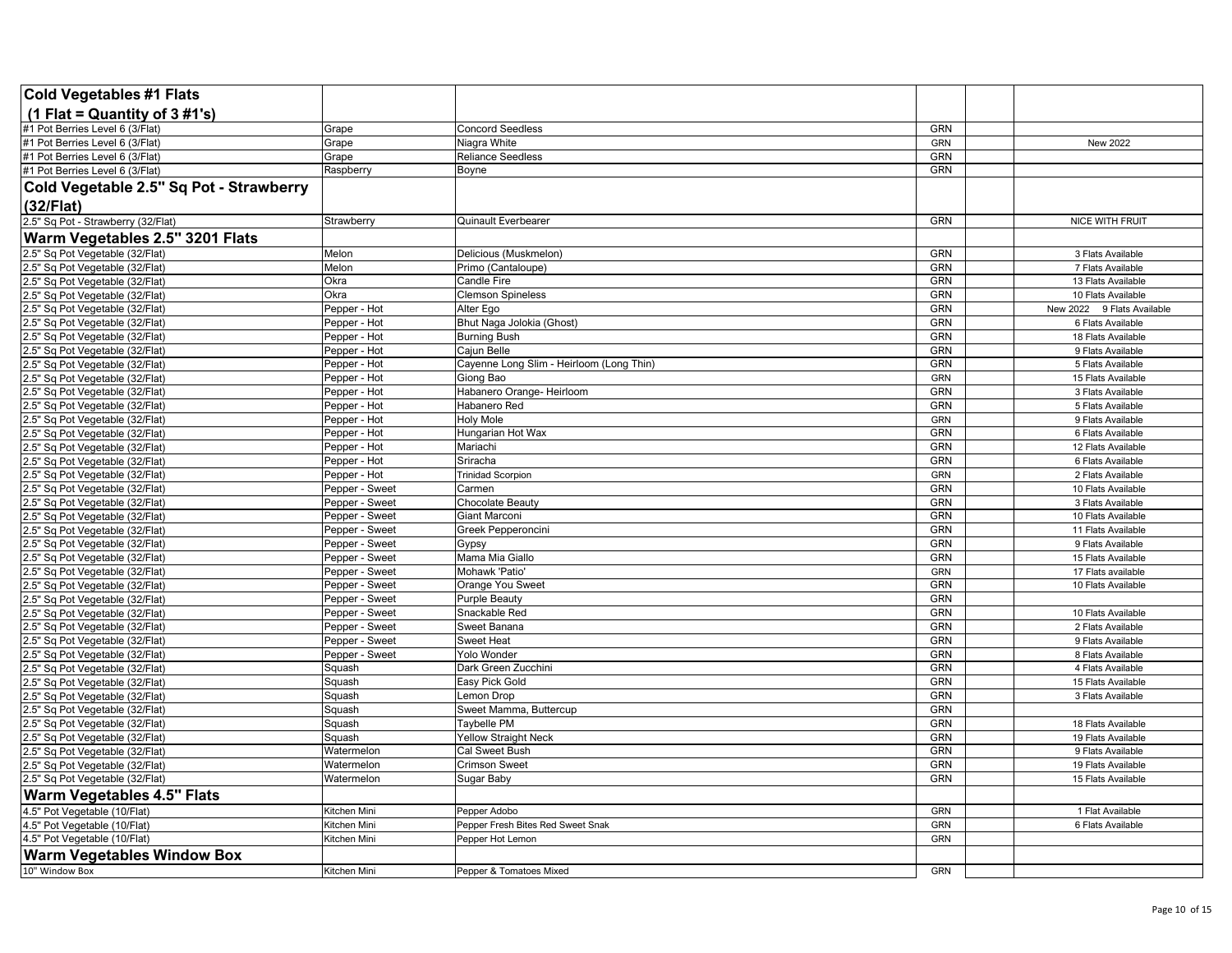| Cold Vegetables #1 Flats                                          |                                  |                                          |                   |                                          |
|-------------------------------------------------------------------|----------------------------------|------------------------------------------|-------------------|------------------------------------------|
| (1 Flat = Quantity of $3 \# 1's$ )                                |                                  |                                          |                   |                                          |
| #1 Pot Berries Level 6 (3/Flat)                                   | Grape                            | <b>Concord Seedless</b>                  | <b>GRN</b>        |                                          |
| #1 Pot Berries Level 6 (3/Flat)                                   | Grape                            | Niagra White                             | <b>GRN</b>        | New 2022                                 |
| #1 Pot Berries Level 6 (3/Flat)                                   | Grape                            | <b>Reliance Seedless</b>                 | <b>GRN</b>        |                                          |
| #1 Pot Berries Level 6 (3/Flat)                                   | Raspberry                        | Boyne                                    | <b>GRN</b>        |                                          |
| Cold Vegetable 2.5" Sq Pot - Strawberry                           |                                  |                                          |                   |                                          |
| (32/Flat)                                                         |                                  |                                          |                   |                                          |
| 2.5" Sq Pot - Strawberry (32/Flat)                                | Strawberry                       | Quinault Everbearer                      | GRN               | <b>NICE WITH FRUIT</b>                   |
| Warm Vegetables 2.5" 3201 Flats                                   |                                  |                                          |                   |                                          |
| .5" Sq Pot Vegetable (32/Flat)                                    | Melon                            | Delicious (Muskmelon)                    | GRN               | 3 Flats Available                        |
| 2.5" Sq Pot Vegetable (32/Flat)                                   | Melon                            | Primo (Cantaloupe)                       | GRN               | 7 Flats Available                        |
| 2.5" Sq Pot Vegetable (32/Flat)                                   | Okra                             | Candle Fire                              | <b>GRN</b>        | 13 Flats Available                       |
| .5" Sq Pot Vegetable (32/Flat)                                    | Okra                             | <b>Clemson Spineless</b>                 | <b>GRN</b>        | 10 Flats Available                       |
| 2.5" Sq Pot Vegetable (32/Flat)                                   | Pepper - Hot                     | Alter Ego                                | <b>GRN</b>        | New 2022 9 Flats Available               |
| 2.5" Sq Pot Vegetable (32/Flat)                                   | Pepper - Hot                     | Bhut Naga Jolokia (Ghost)                | <b>GRN</b>        | 6 Flats Available                        |
| 2.5" Sq Pot Vegetable (32/Flat)                                   | Pepper - Hot                     | <b>Burning Bush</b>                      | <b>GRN</b>        | 18 Flats Available                       |
| .5" Sq Pot Vegetable (32/Flat)                                    | Pepper - Hot                     | Cajun Belle                              | <b>GRN</b>        | 9 Flats Available                        |
| 2.5" Sq Pot Vegetable (32/Flat)                                   | Pepper - Hot                     | Cayenne Long Slim - Heirloom (Long Thin) | <b>GRN</b>        | 5 Flats Available                        |
| .5" Sq Pot Vegetable (32/Flat)                                    | Pepper - Hot                     | Giong Bao                                | <b>GRN</b>        | 15 Flats Available                       |
| .5" Sq Pot Vegetable (32/Flat)                                    | Pepper - Hot                     | Habanero Orange- Heirloom                | <b>GRN</b>        | 3 Flats Available                        |
| 2.5" Sq Pot Vegetable (32/Flat)                                   | Pepper - Hot                     | Habanero Red                             | GRN               | 5 Flats Available                        |
| .5" Sq Pot Vegetable (32/Flat)                                    | Pepper - Hot                     | <b>Holy Mole</b>                         | <b>GRN</b>        | 9 Flats Available                        |
| 5" Sq Pot Vegetable (32/Flat)                                     | Pepper - Hot                     | Hungarian Hot Wax                        | <b>GRN</b>        | 6 Flats Available                        |
| 2.5" Sq Pot Vegetable (32/Flat)                                   | Pepper - Hot                     | Mariachi                                 | <b>GRN</b>        | 12 Flats Available                       |
| 2.5" Sq Pot Vegetable (32/Flat)                                   | Pepper - Hot                     | Sriracha                                 | <b>GRN</b>        | 6 Flats Available                        |
| .5" Sq Pot Vegetable (32/Flat)                                    | Pepper - Hot                     | <b>Trinidad Scorpion</b>                 | <b>GRN</b>        | 2 Flats Available                        |
| .5" Sq Pot Vegetable (32/Flat)                                    | Pepper - Sweet                   | Carmen                                   | <b>GRN</b>        | 10 Flats Available                       |
| 2.5" Sq Pot Vegetable (32/Flat)                                   | Pepper - Sweet                   | Chocolate Beauty                         | GRN<br><b>GRN</b> | 3 Flats Available                        |
| .5" Sq Pot Vegetable (32/Flat)                                    | Pepper - Sweet                   | Giant Marconi                            | <b>GRN</b>        | 10 Flats Available<br>11 Flats Available |
| .5" Sq Pot Vegetable (32/Flat)<br>2.5" Sq Pot Vegetable (32/Flat) | Pepper - Sweet<br>Pepper - Sweet | Greek Pepperoncini<br>Gypsy              | GRN               | 9 Flats Available                        |
| .5" Sq Pot Vegetable (32/Flat)                                    | Pepper - Sweet                   | Mama Mia Giallo                          | <b>GRN</b>        | 15 Flats Available                       |
| .5" Sq Pot Vegetable (32/Flat)                                    | Pepper - Sweet                   | Mohawk 'Patio'                           | <b>GRN</b>        | 17 Flats available                       |
| 2.5" Sq Pot Vegetable (32/Flat)                                   | Pepper - Sweet                   | Orange You Sweet                         | <b>GRN</b>        | 10 Flats Available                       |
| 2.5" Sq Pot Vegetable (32/Flat)                                   | Pepper - Sweet                   | <b>Purple Beauty</b>                     | <b>GRN</b>        |                                          |
| 2.5" Sq Pot Vegetable (32/Flat)                                   | Pepper - Sweet                   | Snackable Red                            | <b>GRN</b>        | 10 Flats Available                       |
| 2.5" Sq Pot Vegetable (32/Flat)                                   | Pepper - Sweet                   | Sweet Banana                             | <b>GRN</b>        | 2 Flats Available                        |
| 2.5" Sq Pot Vegetable (32/Flat)                                   | Pepper - Sweet                   | <b>Sweet Heat</b>                        | GRN               | 9 Flats Available                        |
| 2.5" Sq Pot Vegetable (32/Flat)                                   | Pepper - Sweet                   | Yolo Wonder                              | <b>GRN</b>        | 8 Flats Available                        |
| .5" Sq Pot Vegetable (32/Flat)                                    | Squash                           | Dark Green Zucchini                      | <b>GRN</b>        | 4 Flats Available                        |
| 2.5" Sq Pot Vegetable (32/Flat)                                   | Squash                           | Easy Pick Gold                           | GRN               | 15 Flats Available                       |
| .5" Sq Pot Vegetable (32/Flat)                                    | Squash                           | Lemon Drop                               | <b>GRN</b>        | 3 Flats Available                        |
| 2.5" Sq Pot Vegetable (32/Flat)                                   | Squash                           | Sweet Mamma, Buttercup                   | GRN               |                                          |
| 2.5" Sq Pot Vegetable (32/Flat)                                   | Squash                           | Taybelle PM                              | <b>GRN</b>        | 18 Flats Available                       |
| .5" Sq Pot Vegetable (32/Flat)                                    | Squash                           | <b>Yellow Straight Neck</b>              | <b>GRN</b>        | 19 Flats Available                       |
| 2.5" Sq Pot Vegetable (32/Flat)                                   | Watermelon                       | Cal Sweet Bush                           | <b>GRN</b>        | 9 Flats Available                        |
| 2.5" Sq Pot Vegetable (32/Flat)                                   | Watermelon                       | <b>Crimson Sweet</b>                     | <b>GRN</b>        | 19 Flats Available                       |
| 2.5" Sq Pot Vegetable (32/Flat)                                   | Watermelon                       | Sugar Baby                               | <b>GRN</b>        | 15 Flats Available                       |
| <b>Warm Vegetables 4.5" Flats</b>                                 |                                  |                                          |                   |                                          |
| 4.5" Pot Vegetable (10/Flat)                                      | Kitchen Mini                     | Pepper Adobo                             | <b>GRN</b>        | 1 Flat Available                         |
| 4.5" Pot Vegetable (10/Flat)                                      | Kitchen Mini                     | Pepper Fresh Bites Red Sweet Snak        | <b>GRN</b>        | 6 Flats Available                        |
| 4.5" Pot Vegetable (10/Flat)                                      | Kitchen Mini                     | Pepper Hot Lemon                         | <b>GRN</b>        |                                          |
| <b>Warm Vegetables Window Box</b>                                 |                                  |                                          |                   |                                          |
| 10" Window Box                                                    | Kitchen Mini                     | Pepper & Tomatoes Mixed                  | <b>GRN</b>        |                                          |
|                                                                   |                                  |                                          |                   |                                          |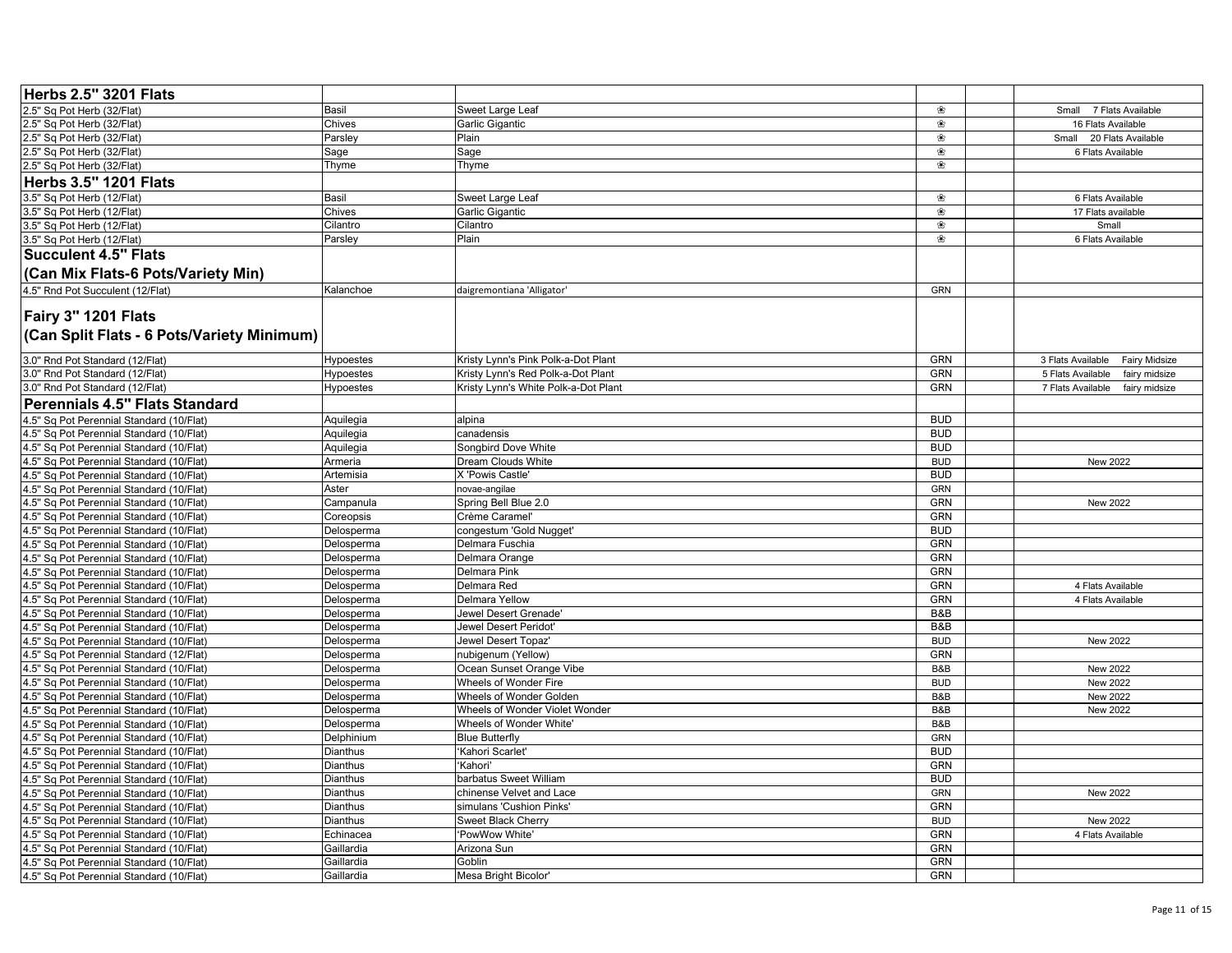| Herbs 2.5" 3201 Flats                                             |                        |                                      |            |                                           |
|-------------------------------------------------------------------|------------------------|--------------------------------------|------------|-------------------------------------------|
| 2.5" Sq Pot Herb (32/Flat)                                        | <b>Basil</b>           | Sweet Large Leaf                     | ❀          | Small 7 Flats Available                   |
| 2.5" Sq Pot Herb (32/Flat)                                        | Chives                 | Garlic Gigantic                      | ❀          | 16 Flats Available                        |
| 2.5" Sq Pot Herb (32/Flat)                                        | Parsley                | Plain                                | ❀          | Small 20 Flats Available                  |
| 2.5" Sq Pot Herb (32/Flat)                                        | Sage                   | Sage                                 | ❀          | 6 Flats Available                         |
| 2.5" Sq Pot Herb (32/Flat)                                        | Thyme                  | Thyme                                | ❀          |                                           |
| <b>Herbs 3.5" 1201 Flats</b>                                      |                        |                                      |            |                                           |
| 3.5" Sq Pot Herb (12/Flat)                                        | <b>Basil</b>           | Sweet Large Leaf                     | ❀          | 6 Flats Available                         |
| 3.5" Sq Pot Herb (12/Flat)                                        | Chives                 | Garlic Gigantic                      | ❀          | 17 Flats available                        |
| 3.5" Sq Pot Herb (12/Flat)                                        | Cilantro               | Cilantro                             | ❀          | Small                                     |
| 3.5" Sq Pot Herb (12/Flat)                                        | Parsley                | Plain                                | ❀          | 6 Flats Available                         |
| <b>Succulent 4.5" Flats</b>                                       |                        |                                      |            |                                           |
| (Can Mix Flats-6 Pots/Variety Min)                                |                        |                                      |            |                                           |
| 4.5" Rnd Pot Succulent (12/Flat)                                  | Kalanchoe              | daigremontiana 'Alligator'           | GRN        |                                           |
| Fairy 3" 1201 Flats<br>(Can Split Flats - 6 Pots/Variety Minimum) |                        |                                      |            |                                           |
| 3.0" Rnd Pot Standard (12/Flat)                                   | <b>Hypoestes</b>       | Kristy Lynn's Pink Polk-a-Dot Plant  | <b>GRN</b> | 3 Flats Available<br><b>Fairy Midsize</b> |
| 3.0" Rnd Pot Standard (12/Flat)                                   | <b>Hypoestes</b>       | Kristy Lynn's Red Polk-a-Dot Plant   | <b>GRN</b> | 5 Flats Available<br>fairy midsize        |
| 3.0" Rnd Pot Standard (12/Flat)                                   | <b>Hypoestes</b>       | Kristy Lynn's White Polk-a-Dot Plant | <b>GRN</b> | 7 Flats Available<br>fairy midsize        |
| Perennials 4.5" Flats Standard                                    |                        |                                      |            |                                           |
| 4.5" Sq Pot Perennial Standard (10/Flat)                          | Aquilegia              | alpina                               | <b>BUD</b> |                                           |
| 4.5" Sq Pot Perennial Standard (10/Flat)                          |                        | canadensis                           | <b>BUD</b> |                                           |
| 4.5" Sq Pot Perennial Standard (10/Flat)                          | Aquilegia<br>Aquilegia | Songbird Dove White                  | <b>BUD</b> |                                           |
| 4.5" Sq Pot Perennial Standard (10/Flat)                          | Armeria                | Dream Clouds White                   | <b>BUD</b> | New 2022                                  |
| 4.5" Sq Pot Perennial Standard (10/Flat)                          | Artemisia              | X 'Powis Castle'                     | <b>BUD</b> |                                           |
| 4.5" Sq Pot Perennial Standard (10/Flat)                          | Aster                  | novae-angilae                        | GRN        |                                           |
| 4.5" Sq Pot Perennial Standard (10/Flat)                          | Campanula              | Spring Bell Blue 2.0                 | <b>GRN</b> | New 2022                                  |
| 4.5" Sq Pot Perennial Standard (10/Flat)                          | Coreopsis              | Crème Caramel'                       | <b>GRN</b> |                                           |
| 4.5" Sq Pot Perennial Standard (10/Flat)                          | Delosperma             | congestum 'Gold Nugget'              | <b>BUD</b> |                                           |
| 4.5" Sq Pot Perennial Standard (10/Flat)                          | Delosperma             | Delmara Fuschia                      | GRN        |                                           |
| 4.5" Sq Pot Perennial Standard (10/Flat)                          | Delosperma             | Delmara Orange                       | <b>GRN</b> |                                           |
| 4.5" Sq Pot Perennial Standard (10/Flat)                          | Delosperma             | Delmara Pink                         | GRN        |                                           |
| 4.5" Sq Pot Perennial Standard (10/Flat)                          | Delosperma             | Delmara Red                          | <b>GRN</b> | 4 Flats Available                         |
| 4.5" Sq Pot Perennial Standard (10/Flat)                          | Delosperma             | <b>Delmara Yellow</b>                | GRN        | 4 Flats Available                         |
| 4.5" Sq Pot Perennial Standard (10/Flat)                          | Delosperma             | Jewel Desert Grenade'                | B&B        |                                           |
| 4.5" Sq Pot Perennial Standard (10/Flat)                          | Delosperma             | Jewel Desert Peridot'                | B&B        |                                           |
| 4.5" Sq Pot Perennial Standard (10/Flat)                          | Delosperma             | Jewel Desert Topaz'                  | <b>BUD</b> | New 2022                                  |
| 4.5" Sq Pot Perennial Standard (12/Flat)                          | Delosperma             | nubigenum (Yellow)                   | <b>GRN</b> |                                           |
| 4.5" Sq Pot Perennial Standard (10/Flat)                          | Delosperma             | Ocean Sunset Orange Vibe             | B&B        | New 2022                                  |
| 4.5" Sq Pot Perennial Standard (10/Flat)                          | Delosperma             | Wheels of Wonder Fire                | <b>BUD</b> | New 2022                                  |
| 4.5" Sq Pot Perennial Standard (10/Flat)                          | Delosperma             | Wheels of Wonder Golden              | B&B        | New 2022                                  |
| 4.5" Sq Pot Perennial Standard (10/Flat)                          | Delosperma             | Wheels of Wonder Violet Wonder       | B&B        | New 2022                                  |
| 4.5" Sq Pot Perennial Standard (10/Flat)                          | Delosperma             | Wheels of Wonder White'              | B&B        |                                           |
| 4.5" Sq Pot Perennial Standard (10/Flat)                          | Delphinium             | <b>Blue Butterfly</b>                | GRN        |                                           |
| 4.5" Sq Pot Perennial Standard (10/Flat)                          | <b>Dianthus</b>        | 'Kahori Scarlet'                     | <b>BUD</b> |                                           |
| 4.5" Sq Pot Perennial Standard (10/Flat)                          | Dianthus               | 'Kahori'                             | GRN        |                                           |
| 4.5" Sq Pot Perennial Standard (10/Flat)                          | Dianthus               | barbatus Sweet William               | <b>BUD</b> |                                           |
| 4.5" Sq Pot Perennial Standard (10/Flat)                          | Dianthus               | chinense Velvet and Lace             | GRN        | New 2022                                  |
| 4.5" Sq Pot Perennial Standard (10/Flat)                          | Dianthus               | simulans 'Cushion Pinks'             | <b>GRN</b> |                                           |
| 4.5" Sq Pot Perennial Standard (10/Flat)                          | <b>Dianthus</b>        | Sweet Black Cherry                   | <b>BUD</b> | <b>New 2022</b>                           |
| 4.5" Sq Pot Perennial Standard (10/Flat)                          | Echinacea              | 'PowWow White'                       | GRN        | 4 Flats Available                         |
| 4.5" Sq Pot Perennial Standard (10/Flat)                          | Gaillardia             | Arizona Sun                          | GRN        |                                           |
| 4.5" Sq Pot Perennial Standard (10/Flat)                          | Gaillardia             | Goblin                               | GRN        |                                           |
| 4.5" Sq Pot Perennial Standard (10/Flat)                          | Gaillardia             | Mesa Bright Bicolor'                 | GRN        |                                           |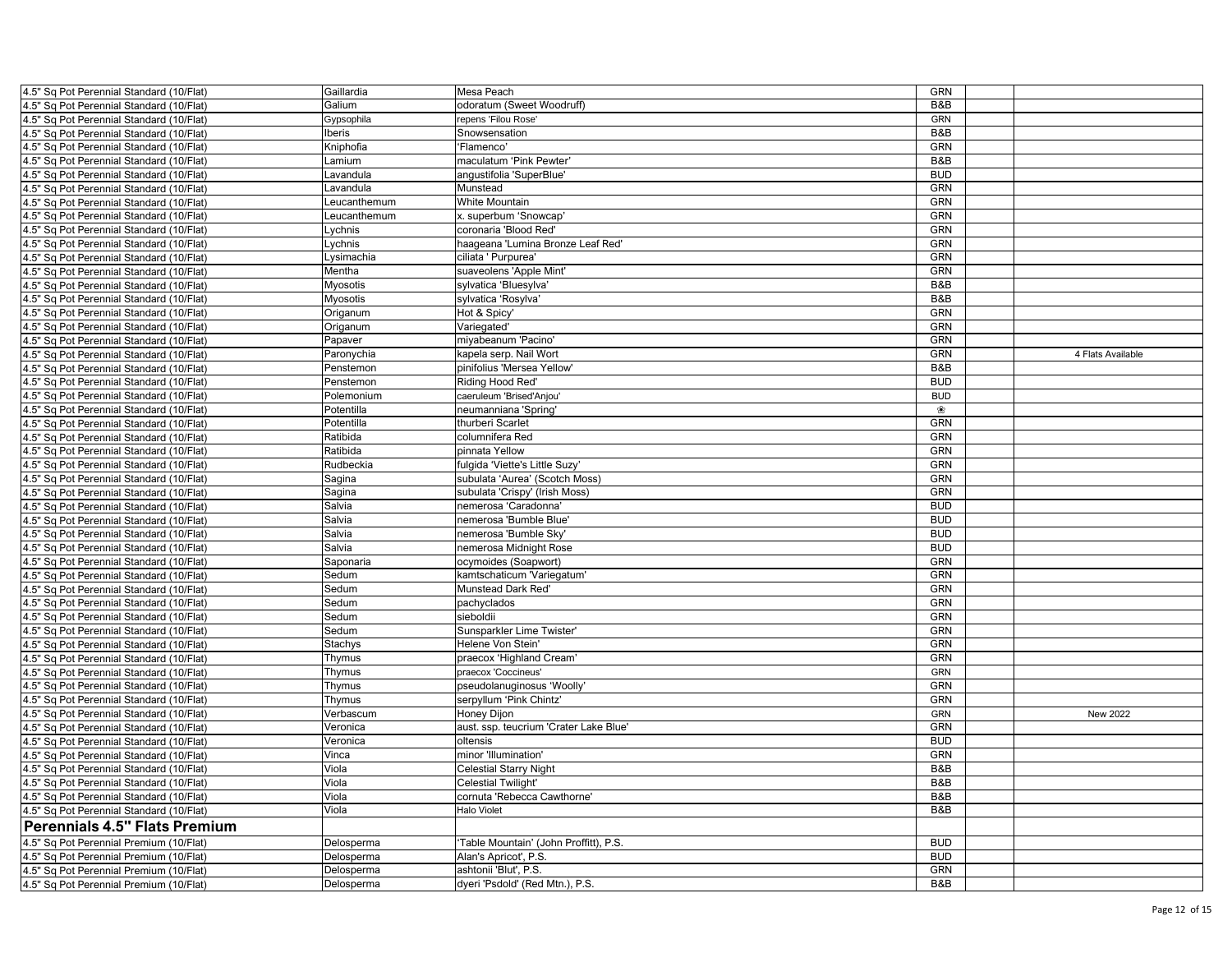| 4.5" Sq Pot Perennial Standard (10/Flat) | Gaillardia   | Mesa Peach                             | <b>GRN</b> |                   |
|------------------------------------------|--------------|----------------------------------------|------------|-------------------|
| 4.5" Sq Pot Perennial Standard (10/Flat) | Galium       | odoratum (Sweet Woodruff)              | B&B        |                   |
| 4.5" Sq Pot Perennial Standard (10/Flat) | Gypsophila   | repens 'Filou Rose'                    | GRN        |                   |
| 4.5" Sq Pot Perennial Standard (10/Flat) | Iberis       | Snowsensation                          | B&B        |                   |
| 4.5" Sq Pot Perennial Standard (10/Flat) | Kniphofia    | 'Flamenco'                             | <b>GRN</b> |                   |
| 4.5" Sq Pot Perennial Standard (10/Flat) | Lamium       | maculatum 'Pink Pewter'                | B&B        |                   |
| 4.5" Sq Pot Perennial Standard (10/Flat) | Lavandula    | angustifolia 'SuperBlue'               | <b>BUD</b> |                   |
| 4.5" Sq Pot Perennial Standard (10/Flat) | Lavandula    | Munstead                               | <b>GRN</b> |                   |
| 4.5" Sq Pot Perennial Standard (10/Flat) | Leucanthemum | White Mountain                         | <b>GRN</b> |                   |
| 4.5" Sq Pot Perennial Standard (10/Flat) | _eucanthemum | x. superbum 'Snowcap'                  | <b>GRN</b> |                   |
| 4.5" Sq Pot Perennial Standard (10/Flat) | _ychnis      | coronaria 'Blood Red'                  | <b>GRN</b> |                   |
| 1.5" Sq Pot Perennial Standard (10/Flat) | Lychnis      | haageana 'Lumina Bronze Leaf Red'      | <b>GRN</b> |                   |
| 4.5" Sq Pot Perennial Standard (10/Flat) | Lysimachia   | ciliata ' Purpurea'                    | <b>GRN</b> |                   |
| 4.5" Sq Pot Perennial Standard (10/Flat) | Mentha       | suaveolens 'Apple Mint'                | GRN        |                   |
| 4.5" Sq Pot Perennial Standard (10/Flat) | Myosotis     | sylvatica 'Bluesylva'                  | B&B        |                   |
| 4.5" Sq Pot Perennial Standard (10/Flat) | Myosotis     | sylvatica 'Rosylva'                    | B&B        |                   |
| 4.5" Sq Pot Perennial Standard (10/Flat) | Origanum     | Hot & Spicy                            | GRN        |                   |
| 4.5" Sq Pot Perennial Standard (10/Flat) | Origanum     | Variegated'                            | <b>GRN</b> |                   |
| 1.5" Sq Pot Perennial Standard (10/Flat) | Papaver      | miyabeanum 'Pacino'                    | <b>GRN</b> |                   |
| 4.5" Sq Pot Perennial Standard (10/Flat) | Paronychia   | kapela serp. Nail Wort                 | <b>GRN</b> | 4 Flats Available |
| 4.5" Sq Pot Perennial Standard (10/Flat) | Penstemon    | pinifolius 'Mersea Yellow'             | B&B        |                   |
|                                          |              |                                        | <b>BUD</b> |                   |
| 4.5" Sq Pot Perennial Standard (10/Flat) | Penstemon    | Riding Hood Red'                       |            |                   |
| 4.5" Sq Pot Perennial Standard (10/Flat) | Polemonium   | caeruleum 'Brised'Anjou'               | <b>BUD</b> |                   |
| 4.5" Sq Pot Perennial Standard (10/Flat) | Potentilla   | neumanniana 'Spring                    | ❀          |                   |
| 4.5" Sq Pot Perennial Standard (10/Flat) | Potentilla   | thurberi Scarlet                       | GRN        |                   |
| 4.5" Sq Pot Perennial Standard (10/Flat) | Ratibida     | columnifera Red                        | <b>GRN</b> |                   |
| 4.5" Sq Pot Perennial Standard (10/Flat) | Ratibida     | pinnata Yellow                         | <b>GRN</b> |                   |
| 4.5" Sq Pot Perennial Standard (10/Flat) | Rudbeckia    | fulgida 'Viette's Little Suzy          | <b>GRN</b> |                   |
| 4.5" Sq Pot Perennial Standard (10/Flat) | Sagina       | subulata 'Aurea' (Scotch Moss)         | GRN        |                   |
| 1.5" Sq Pot Perennial Standard (10/Flat) | Sagina       | subulata 'Crispy' (Irish Moss)         | GRN        |                   |
| 4.5" Sq Pot Perennial Standard (10/Flat) | Salvia       | nemerosa 'Caradonna'                   | <b>BUD</b> |                   |
| 4.5" Sq Pot Perennial Standard (10/Flat) | Salvia       | nemerosa 'Bumble Blue'                 | <b>BUD</b> |                   |
| 4.5" Sq Pot Perennial Standard (10/Flat) | Salvia       | nemerosa 'Bumble Sky'                  | <b>BUD</b> |                   |
| 4.5" Sq Pot Perennial Standard (10/Flat) | Salvia       | nemerosa Midnight Rose                 | <b>BUD</b> |                   |
| 4.5" Sq Pot Perennial Standard (10/Flat) | Saponaria    | ocymoides (Soapwort)                   | GRN        |                   |
| 4.5" Sq Pot Perennial Standard (10/Flat) | Sedum        | kamtschaticum 'Variegatum'             | GRN        |                   |
| 1.5" Sq Pot Perennial Standard (10/Flat) | Sedum        | Munstead Dark Red'                     | <b>GRN</b> |                   |
| 4.5" Sq Pot Perennial Standard (10/Flat) | Sedum        | pachyclados                            | GRN        |                   |
| 1.5" Sq Pot Perennial Standard (10/Flat) | Sedum        | sieboldii                              | GRN        |                   |
| 4.5" Sq Pot Perennial Standard (10/Flat) | Sedum        | Sunsparkler Lime Twister'              | GRN        |                   |
| 4.5" Sq Pot Perennial Standard (10/Flat) | Stachys      | Helene Von Stein'                      | GRN        |                   |
| 4.5" Sq Pot Perennial Standard (10/Flat) | Thymus       | praecox 'Highland Cream'               | GRN        |                   |
| 4.5" Sq Pot Perennial Standard (10/Flat) | Thymus       | praecox 'Coccineus'                    | GRN        |                   |
| 4.5" Sq Pot Perennial Standard (10/Flat) | Thymus       | pseudolanuginosus 'Woolly'             | <b>GRN</b> |                   |
| 4.5" Sq Pot Perennial Standard (10/Flat) |              | serpyllum 'Pink Chintz'                | <b>GRN</b> |                   |
|                                          | Thymus       | Honey Dijon                            | GRN        | New 2022          |
| 4.5" Sq Pot Perennial Standard (10/Flat) | Verbascum    |                                        |            |                   |
| 4.5" Sq Pot Perennial Standard (10/Flat) | Veronica     | aust. ssp. teucrium 'Crater Lake Blue' | GRN        |                   |
| 4.5" Sq Pot Perennial Standard (10/Flat) | Veronica     | oltensis                               | <b>BUD</b> |                   |
| 4.5" Sq Pot Perennial Standard (10/Flat) | Vinca        | minor 'Illumination'                   | <b>GRN</b> |                   |
| 4.5" Sq Pot Perennial Standard (10/Flat) | Viola        | <b>Celestial Starry Night</b>          | B&B        |                   |
| 4.5" Sq Pot Perennial Standard (10/Flat) | Viola        | <b>Celestial Twilight'</b>             | B&B        |                   |
| 4.5" Sq Pot Perennial Standard (10/Flat) | Viola        | cornuta 'Rebecca Cawthorne'            | B&B        |                   |
| 4.5" Sq Pot Perennial Standard (10/Flat) | Viola        | <b>Halo Violet</b>                     | B&B        |                   |
| <b>Perennials 4.5" Flats Premium</b>     |              |                                        |            |                   |
| 4.5" Sq Pot Perennial Premium (10/Flat)  | Delosperma   | 'Table Mountain' (John Proffitt), P.S. | <b>BUD</b> |                   |
| 4.5" Sq Pot Perennial Premium (10/Flat)  | Delosperma   | Alan's Apricot', P.S.                  | <b>BUD</b> |                   |
| 4.5" Sq Pot Perennial Premium (10/Flat)  | Delosperma   | ashtonii 'Blut', P.S.                  | <b>GRN</b> |                   |
| 4.5" Sq Pot Perennial Premium (10/Flat)  | Delosperma   | dyeri 'Psdold' (Red Mtn.), P.S.        | B&B        |                   |
|                                          |              |                                        |            |                   |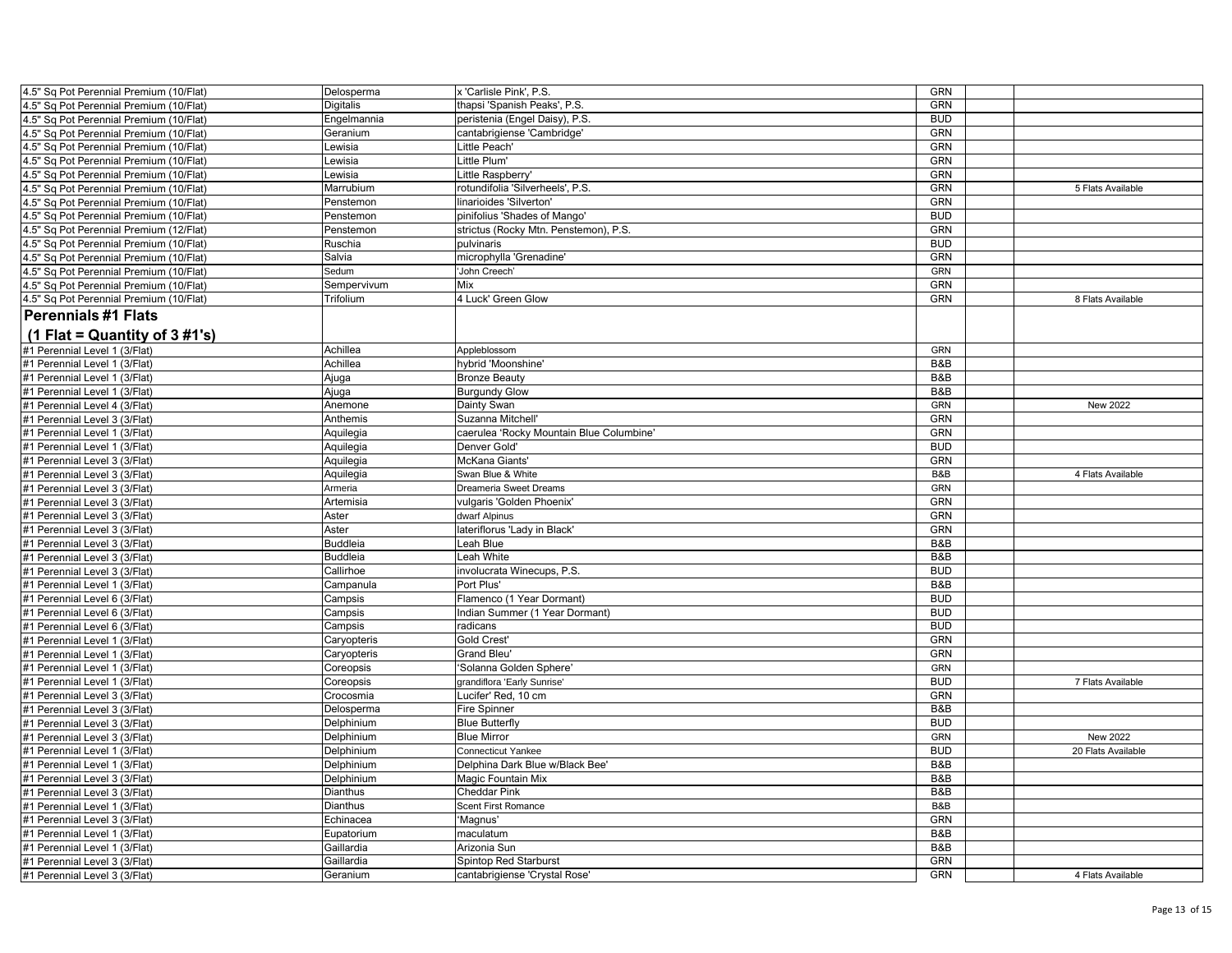| 4.5" Sq Pot Perennial Premium (10/Flat) | Delosperma      | x 'Carlisle Pink', P.S.                  | GRN        |                    |
|-----------------------------------------|-----------------|------------------------------------------|------------|--------------------|
| 4.5" Sq Pot Perennial Premium (10/Flat) | Digitalis       | thapsi 'Spanish Peaks', P.S.             | GRN        |                    |
| 4.5" Sq Pot Perennial Premium (10/Flat) | Engelmannia     | peristenia (Engel Daisy), P.S.           | <b>BUD</b> |                    |
| 4.5" Sq Pot Perennial Premium (10/Flat) | Geranium        | cantabrigiense 'Cambridge'               | <b>GRN</b> |                    |
| 4.5" Sq Pot Perennial Premium (10/Flat) | Lewisia         | Little Peach'                            | <b>GRN</b> |                    |
| 4.5" Sq Pot Perennial Premium (10/Flat) | Lewisia         | Little Plum'                             | GRN        |                    |
| 4.5" Sq Pot Perennial Premium (10/Flat) | Lewisia         | Little Raspberry'                        | <b>GRN</b> |                    |
| 4.5" Sq Pot Perennial Premium (10/Flat) | Marrubium       | rotundifolia 'Silverheels', P.S.         | GRN        | 5 Flats Available  |
| 4.5" Sq Pot Perennial Premium (10/Flat) | Penstemon       | linarioides 'Silverton'                  | <b>GRN</b> |                    |
| 4.5" Sq Pot Perennial Premium (10/Flat) | Penstemon       | pinifolius 'Shades of Mango'             | <b>BUD</b> |                    |
| 4.5" Sq Pot Perennial Premium (12/Flat) | Penstemon       | strictus (Rocky Mtn. Penstemon), P.S.    | GRN        |                    |
| 4.5" Sq Pot Perennial Premium (10/Flat) | Ruschia         | pulvinaris                               | <b>BUD</b> |                    |
| 4.5" Sq Pot Perennial Premium (10/Flat) | Salvia          | microphylla 'Grenadine'                  | GRN        |                    |
| 4.5" Sq Pot Perennial Premium (10/Flat) | Sedum           | John Creech'                             | GRN        |                    |
| 4.5" Sq Pot Perennial Premium (10/Flat) | Sempervivum     | Mix                                      | <b>GRN</b> |                    |
| 4.5" Sq Pot Perennial Premium (10/Flat) | Trifolium       | 4 Luck' Green Glow                       | GRN        | 8 Flats Available  |
|                                         |                 |                                          |            |                    |
| <b>Perennials #1 Flats</b>              |                 |                                          |            |                    |
| $(1$ Flat = Quantity of 3 #1's)         |                 |                                          |            |                    |
| #1 Perennial Level 1 (3/Flat)           | Achillea        | Appleblossom                             | GRN        |                    |
| #1 Perennial Level 1 (3/Flat)           | Achillea        | hybrid 'Moonshine'                       | B&B        |                    |
| #1 Perennial Level 1 (3/Flat)           | Ajuga           | <b>Bronze Beauty</b>                     | B&B        |                    |
| #1 Perennial Level 1 (3/Flat)           | Ajuga           | <b>Burgundy Glow</b>                     | B&B        |                    |
| #1 Perennial Level 4 (3/Flat)           | Anemone         | Dainty Swan                              | GRN        | New 2022           |
| #1 Perennial Level 3 (3/Flat)           | Anthemis        | Suzanna Mitchell                         | <b>GRN</b> |                    |
| #1 Perennial Level 1 (3/Flat)           | Aquilegia       | caerulea 'Rocky Mountain Blue Columbine' | GRN        |                    |
| #1 Perennial Level 1 (3/Flat)           | Aquilegia       | Denver Gold'                             | <b>BUD</b> |                    |
| #1 Perennial Level 3 (3/Flat)           | Aquilegia       | <b>McKana Giants</b>                     | GRN        |                    |
| #1 Perennial Level 3 (3/Flat)           | Aquilegia       | Swan Blue & White                        | B&B        | 4 Flats Available  |
| #1 Perennial Level 3 (3/Flat)           | Armeria         | Dreameria Sweet Dreams                   | GRN        |                    |
| #1 Perennial Level 3 (3/Flat)           | Artemisia       | vulgaris 'Golden Phoenix'                | <b>GRN</b> |                    |
| #1 Perennial Level 3 (3/Flat)           | Aster           | dwarf Alpinus                            | <b>GRN</b> |                    |
| #1 Perennial Level 3 (3/Flat)           | Aster           | lateriflorus 'Lady in Black'             | GRN        |                    |
| #1 Perennial Level 3 (3/Flat)           | <b>Buddleia</b> | Leah Blue                                | B&B        |                    |
| #1 Perennial Level 3 (3/Flat)           | <b>Buddleia</b> | Leah White                               | B&B        |                    |
| #1 Perennial Level 3 (3/Flat)           | Callirhoe       | involucrata Winecups, P.S.               | <b>BUD</b> |                    |
| #1 Perennial Level 1 (3/Flat)           | Campanula       | Port Plus'                               | B&B        |                    |
| #1 Perennial Level 6 (3/Flat)           | Campsis         | Flamenco (1 Year Dormant)                | <b>BUD</b> |                    |
| #1 Perennial Level 6 (3/Flat)           | Campsis         | Indian Summer (1 Year Dormant)           | <b>BUD</b> |                    |
| #1 Perennial Level 6 (3/Flat)           | Campsis         | radicans                                 | <b>BUD</b> |                    |
| #1 Perennial Level 1 (3/Flat)           | Caryopteris     | <b>Gold Crest'</b>                       | <b>GRN</b> |                    |
| #1 Perennial Level 1 (3/Flat)           | Caryopteris     | Grand Bleu'                              | <b>GRN</b> |                    |
| #1 Perennial Level 1 (3/Flat)           | Coreopsis       | 'Solanna Golden Sphere'                  | GRN        |                    |
| #1 Perennial Level 1 (3/Flat)           | Coreopsis       | grandiflora 'Early Sunrise'              | <b>BUD</b> | 7 Flats Available  |
| #1 Perennial Level 3 (3/Flat)           | Crocosmia       | Lucifer' Red, 10 cm                      | <b>GRN</b> |                    |
| #1 Perennial Level 3 (3/Flat)           | Delosperma      | Fire Spinner                             | B&B        |                    |
| #1 Perennial Level 3 (3/Flat)           | Delphinium      | <b>Blue Butterfly</b>                    | <b>BUD</b> |                    |
| #1 Perennial Level 3 (3/Flat)           | Delphinium      | <b>Blue Mirror</b>                       | GRN        | New 2022           |
| #1 Perennial Level 1 (3/Flat)           | Delphinium      | <b>Connecticut Yankee</b>                | <b>BUD</b> | 20 Flats Available |
| #1 Perennial Level 1 (3/Flat)           | Delphinium      | Delphina Dark Blue w/Black Bee'          | B&B        |                    |
| #1 Perennial Level 3 (3/Flat)           | Delphinium      | Magic Fountain Mix                       | B&B        |                    |
| #1 Perennial Level 3 (3/Flat)           | Dianthus        | <b>Cheddar Pink</b>                      | B&B        |                    |
| #1 Perennial Level 1 (3/Flat)           | Dianthus        | <b>Scent First Romance</b>               | B&B        |                    |
| #1 Perennial Level 3 (3/Flat)           | Echinacea       | 'Magnus'                                 | GRN        |                    |
| #1 Perennial Level 1 (3/Flat)           | Eupatorium      | maculatum                                | B&B        |                    |
| #1 Perennial Level 1 (3/Flat)           | Gaillardia      | Arizonia Sun                             | B&B        |                    |
| #1 Perennial Level 3 (3/Flat)           | Gaillardia      | Spintop Red Starburst                    | <b>GRN</b> |                    |
| #1 Perennial Level 3 (3/Flat)           | Geranium        | cantabrigiense 'Crystal Rose'            | <b>GRN</b> | 4 Flats Available  |
|                                         |                 |                                          |            |                    |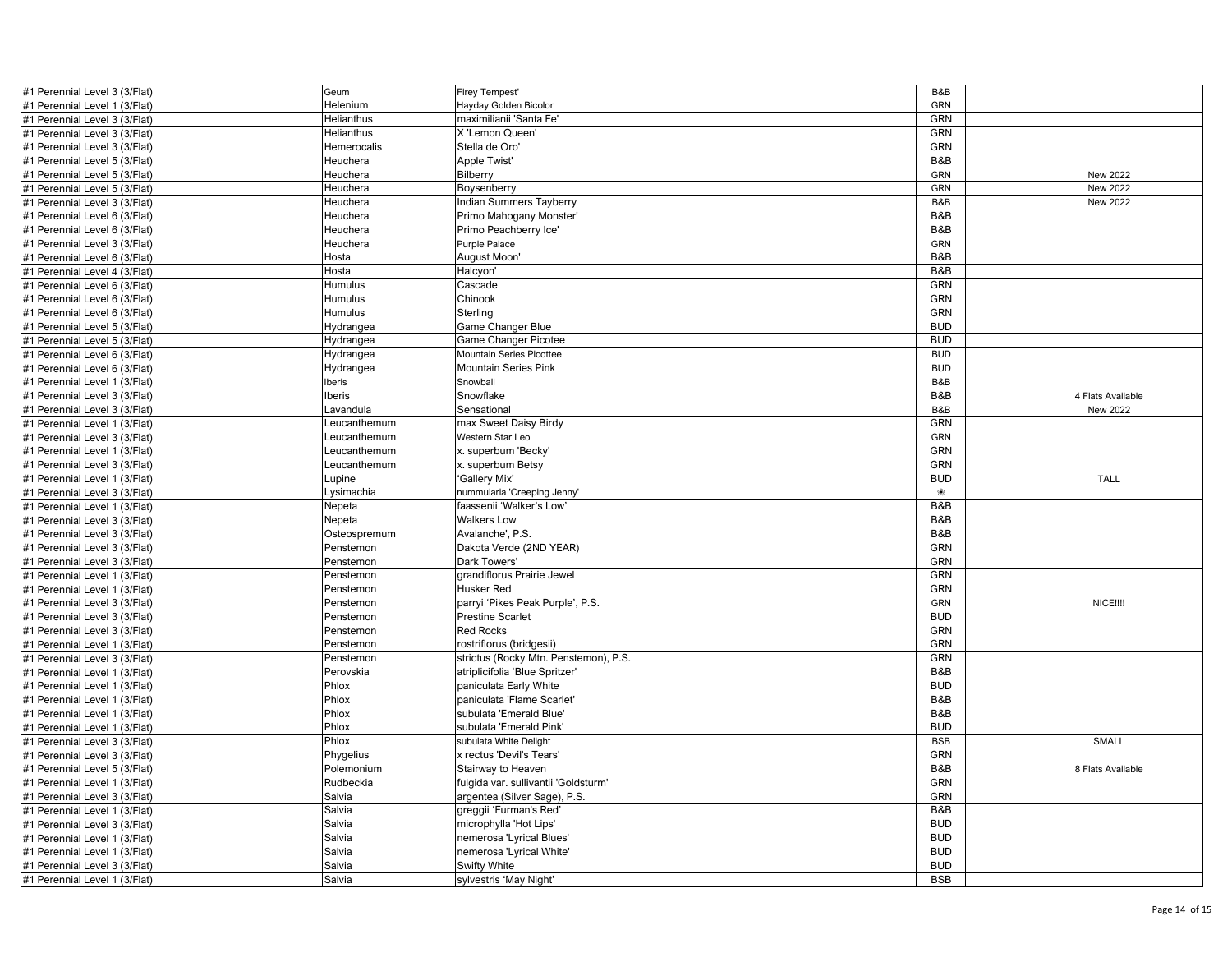| #1 Perennial Level 3 (3/Flat) | Geum         | <b>Firey Tempest'</b>                 | B&B            |                   |
|-------------------------------|--------------|---------------------------------------|----------------|-------------------|
| #1 Perennial Level 1 (3/Flat) | Helenium     | Hayday Golden Bicolor                 | GRN            |                   |
| #1 Perennial Level 3 (3/Flat) | Helianthus   | maximilianii 'Santa Fe'               | <b>GRN</b>     |                   |
| #1 Perennial Level 3 (3/Flat) | Helianthus   | X 'Lemon Queen'                       | GRN            |                   |
| #1 Perennial Level 3 (3/Flat) | Hemerocalis  | Stella de Oro'                        | GRN            |                   |
| #1 Perennial Level 5 (3/Flat) | Heuchera     | Apple Twist'                          | B&B            |                   |
| #1 Perennial Level 5 (3/Flat) | Heuchera     | Bilberry                              | <b>GRN</b>     | New 2022          |
| #1 Perennial Level 5 (3/Flat) | Heuchera     | Boysenberry                           | <b>GRN</b>     | New 2022          |
| #1 Perennial Level 3 (3/Flat) | Heuchera     | Indian Summers Tayberry               | B&B            | New 2022          |
| #1 Perennial Level 6 (3/Flat) | Heuchera     | Primo Mahogany Monster'               | B&B            |                   |
| #1 Perennial Level 6 (3/Flat) | Heuchera     | Primo Peachberry Ice'                 | B&B            |                   |
| #1 Perennial Level 3 (3/Flat) | Heuchera     | Purple Palace                         | GRN            |                   |
| #1 Perennial Level 6 (3/Flat) | Hosta        | August Moon                           | B&B            |                   |
| #1 Perennial Level 4 (3/Flat) | Hosta        | Halcyon'                              | B&B            |                   |
| #1 Perennial Level 6 (3/Flat) | Humulus      | Cascade                               | GRN            |                   |
| #1 Perennial Level 6 (3/Flat) | Humulus      | Chinook                               | <b>GRN</b>     |                   |
|                               |              | Sterling                              | <b>GRN</b>     |                   |
| #1 Perennial Level 6 (3/Flat) | Humulus      |                                       |                |                   |
| #1 Perennial Level 5 (3/Flat) | Hydrangea    | Game Changer Blue                     | <b>BUD</b>     |                   |
| #1 Perennial Level 5 (3/Flat) | Hydrangea    | <b>Game Changer Picotee</b>           | <b>BUD</b>     |                   |
| #1 Perennial Level 6 (3/Flat) | Hydrangea    | Mountain Series Picottee              | <b>BUD</b>     |                   |
| #1 Perennial Level 6 (3/Flat) | Hydrangea    | <b>Mountain Series Pink</b>           | <b>BUD</b>     |                   |
| #1 Perennial Level 1 (3/Flat) | beris        | Snowball                              | B&B            |                   |
| #1 Perennial Level 3 (3/Flat) | <b>beris</b> | Snowflake                             | <b>B&amp;B</b> | 4 Flats Available |
| #1 Perennial Level 3 (3/Flat) | Lavandula    | Sensational                           | B&B            | <b>New 2022</b>   |
| #1 Perennial Level 1 (3/Flat) | Leucanthemum | max Sweet Daisy Birdy                 | GRN            |                   |
| #1 Perennial Level 3 (3/Flat) | Leucanthemum | Western Star Leo                      | <b>GRN</b>     |                   |
| #1 Perennial Level 1 (3/Flat) | Leucanthemum | x. superbum 'Becky'                   | GRN            |                   |
| #1 Perennial Level 3 (3/Flat) | Leucanthemum | x. superbum Betsy                     | GRN            |                   |
| #1 Perennial Level 1 (3/Flat) | Lupine       | 'Gallery Mix'                         | <b>BUD</b>     | <b>TALL</b>       |
| #1 Perennial Level 3 (3/Flat) | Lysimachia   | nummularia 'Creeping Jenny'           | ❀              |                   |
| #1 Perennial Level 1 (3/Flat) | Nepeta       | faassenii 'Walker's Low'              | <b>B&amp;B</b> |                   |
| #1 Perennial Level 3 (3/Flat) | Nepeta       | <b>Walkers Low</b>                    | B&B            |                   |
| #1 Perennial Level 3 (3/Flat) | Osteospremum | Avalanche', P.S.                      | B&B            |                   |
| #1 Perennial Level 3 (3/Flat) | Penstemon    | Dakota Verde (2ND YEAR)               | GRN            |                   |
| #1 Perennial Level 3 (3/Flat) | Penstemon    | Dark Towers'                          | GRN            |                   |
| #1 Perennial Level 1 (3/Flat) | Penstemon    | grandiflorus Prairie Jewel            | GRN            |                   |
| #1 Perennial Level 1 (3/Flat) | Penstemon    | Husker Red                            | <b>GRN</b>     |                   |
| #1 Perennial Level 3 (3/Flat) | Penstemon    | parryi 'Pikes Peak Purple', P.S.      | <b>GRN</b>     | NICE !!!!         |
| #1 Perennial Level 3 (3/Flat) | Penstemon    | <b>Prestine Scarlet</b>               | <b>BUD</b>     |                   |
| #1 Perennial Level 3 (3/Flat) | Penstemon    | <b>Red Rocks</b>                      | <b>GRN</b>     |                   |
| #1 Perennial Level 1 (3/Flat) | Penstemon    | rostriflorus (bridgesii)              | GRN            |                   |
| #1 Perennial Level 3 (3/Flat) | Penstemon    | strictus (Rocky Mtn. Penstemon), P.S. | GRN            |                   |
| #1 Perennial Level 1 (3/Flat) | Perovskia    | atriplicifolia 'Blue Spritzer         | B&B            |                   |
| #1 Perennial Level 1 (3/Flat) | Phlox        | paniculata Early White                | <b>BUD</b>     |                   |
| #1 Perennial Level 1 (3/Flat) | Phlox        | paniculata 'Flame Scarlet             | B&B            |                   |
| #1 Perennial Level 1 (3/Flat) | Phlox        | subulata 'Emerald Blue'               | B&B            |                   |
| #1 Perennial Level 1 (3/Flat) | Phlox        | subulata 'Emerald Pink'               | <b>BUD</b>     |                   |
| #1 Perennial Level 3 (3/Flat) | Phlox        | subulata White Delight                | <b>BSB</b>     | SMALL             |
| #1 Perennial Level 3 (3/Flat) | Phygelius    | x rectus 'Devil's Tears'              | GRN            |                   |
| #1 Perennial Level 5 (3/Flat) | Polemonium   | Stairway to Heaven                    | B&B            | 8 Flats Available |
| #1 Perennial Level 1 (3/Flat) | Rudbeckia    | fulgida var. sullivantii 'Goldsturm'  | <b>GRN</b>     |                   |
| #1 Perennial Level 3 (3/Flat) | Salvia       | argentea (Silver Sage), P.S.          | GRN            |                   |
| #1 Perennial Level 1 (3/Flat) | Salvia       | greggii 'Furman's Red                 | B&B            |                   |
| #1 Perennial Level 3 (3/Flat) | Salvia       | microphylla 'Hot Lips'                | <b>BUD</b>     |                   |
| #1 Perennial Level 1 (3/Flat) | Salvia       | nemerosa 'Lyrical Blues'              | <b>BUD</b>     |                   |
| #1 Perennial Level 1 (3/Flat) | Salvia       | nemerosa 'Lyrical White'              | <b>BUD</b>     |                   |
| #1 Perennial Level 3 (3/Flat) | Salvia       | <b>Swifty White</b>                   | <b>BUD</b>     |                   |
| #1 Perennial Level 1 (3/Flat) | Salvia       | sylvestris 'May Night'                | <b>BSB</b>     |                   |
|                               |              |                                       |                |                   |